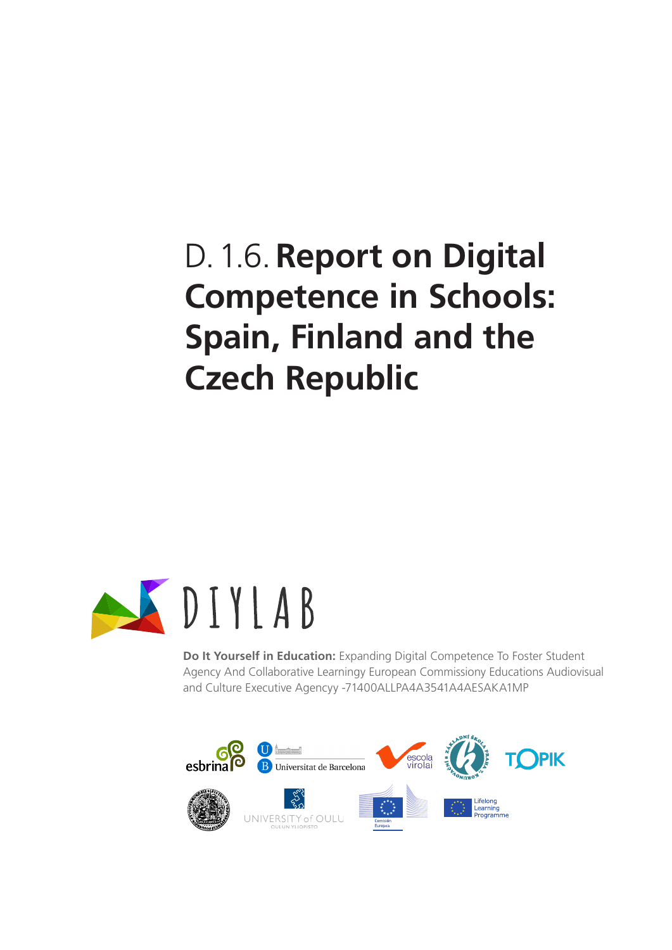# D.1.6.**Report on Digital Competence in Schools: Spain, Finland and the Czech Republic**



**Do It Yourself in Education:** Expanding Digital Competence To Foster Student Agency And Collaborative Learningy European Commissiony Educations Audiovisual and Culture Executive Agencyy -71400ALLPA4A3541A4AESAKA1MP

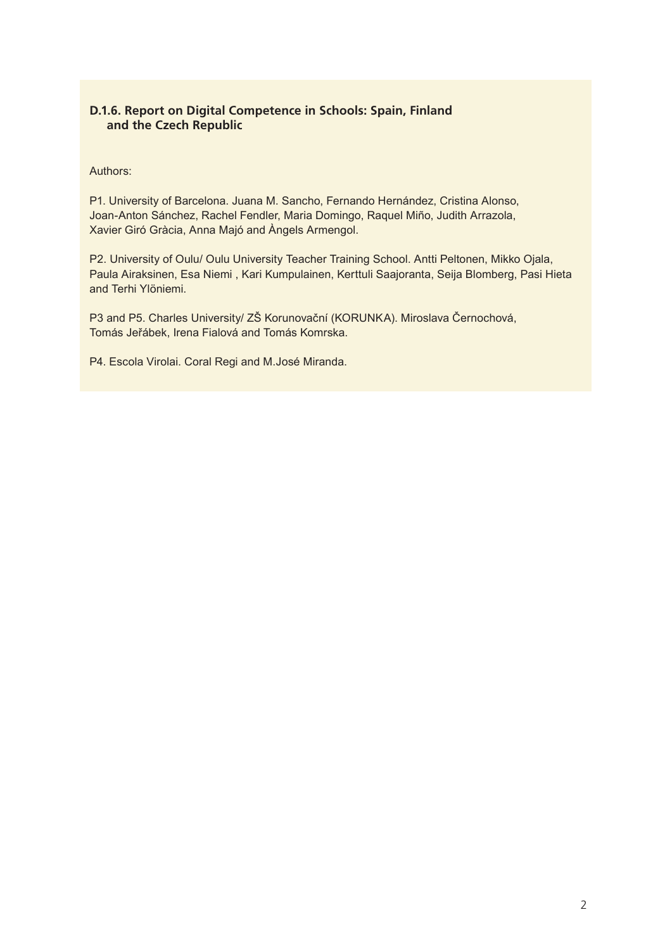#### **D.1.6. Report on Digital Competence in Schools: Spain, Finland and the Czech Republic**

#### Authors:

P1. University of Barcelona. Juana M. Sancho, Fernando Hernández, Cristina Alonso, Joan-Anton Sánchez, Rachel Fendler, Maria Domingo, Raquel Miño, Judith Arrazola, Xavier Giró Gràcia, Anna Majó and Àngels Armengol.

P2. University of Oulu/ Oulu University Teacher Training School. Antti Peltonen, Mikko Ojala, Paula Airaksinen, Esa Niemi , Kari Kumpulainen, Kerttuli Saajoranta, Seija Blomberg, Pasi Hieta and Terhi Ylöniemi.

P3 and P5. Charles University/ ZŠ Korunovační (KORUNKA). Miroslava Černochová, Tomás Jeřábek, Irena Fialová and Tomás Komrska.

P4. Escola Virolai. Coral Regi and M.José Miranda.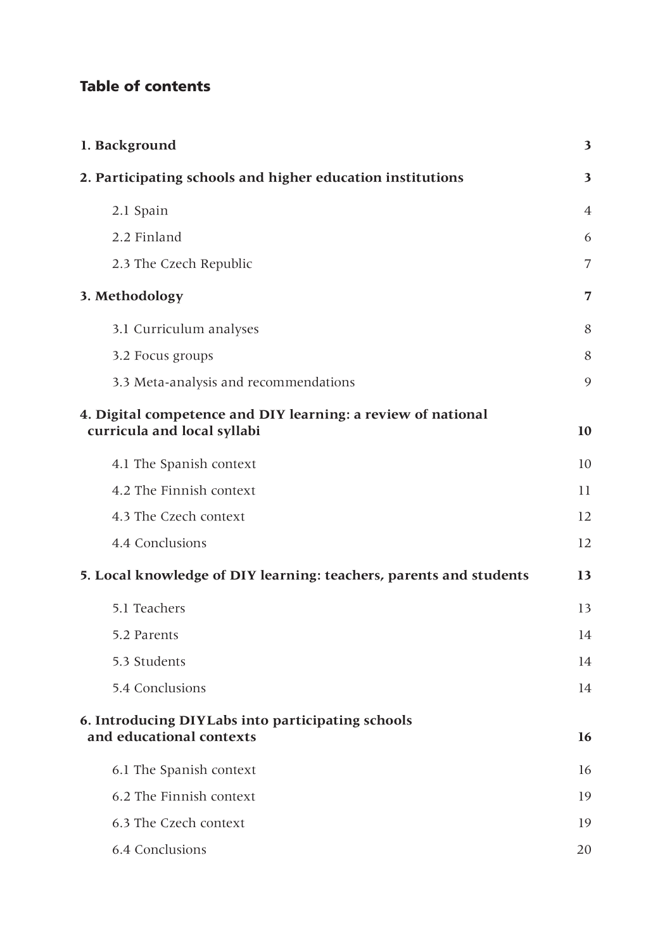# Table of contents

| 1. Background                                                                               |                         |  |  |  |
|---------------------------------------------------------------------------------------------|-------------------------|--|--|--|
| 2. Participating schools and higher education institutions                                  | $\overline{\mathbf{3}}$ |  |  |  |
| 2.1 Spain                                                                                   | $\overline{4}$          |  |  |  |
| 2.2 Finland                                                                                 | 6                       |  |  |  |
| 2.3 The Czech Republic                                                                      | 7                       |  |  |  |
| 3. Methodology                                                                              | 7                       |  |  |  |
| 3.1 Curriculum analyses                                                                     | 8                       |  |  |  |
| 3.2 Focus groups                                                                            | 8                       |  |  |  |
| 3.3 Meta-analysis and recommendations                                                       | 9                       |  |  |  |
| 4. Digital competence and DIY learning: a review of national<br>curricula and local syllabi | 10                      |  |  |  |
| 4.1 The Spanish context                                                                     | 10                      |  |  |  |
| 4.2 The Finnish context                                                                     | 11                      |  |  |  |
| 4.3 The Czech context                                                                       | 12                      |  |  |  |
| 4.4 Conclusions                                                                             | 12                      |  |  |  |
| 5. Local knowledge of DIY learning: teachers, parents and students                          | 13                      |  |  |  |
| 5.1 Teachers                                                                                | 13                      |  |  |  |
| 5.2 Parents                                                                                 | 14                      |  |  |  |
| 5.3 Students                                                                                | 14                      |  |  |  |
| 5.4 Conclusions                                                                             | 14                      |  |  |  |
| 6. Introducing DIYLabs into participating schools<br>and educational contexts               | 16                      |  |  |  |
| 6.1 The Spanish context                                                                     | 16                      |  |  |  |
| 6.2 The Finnish context                                                                     | 19                      |  |  |  |
| 6.3 The Czech context                                                                       | 19                      |  |  |  |
| 6.4 Conclusions                                                                             | 20                      |  |  |  |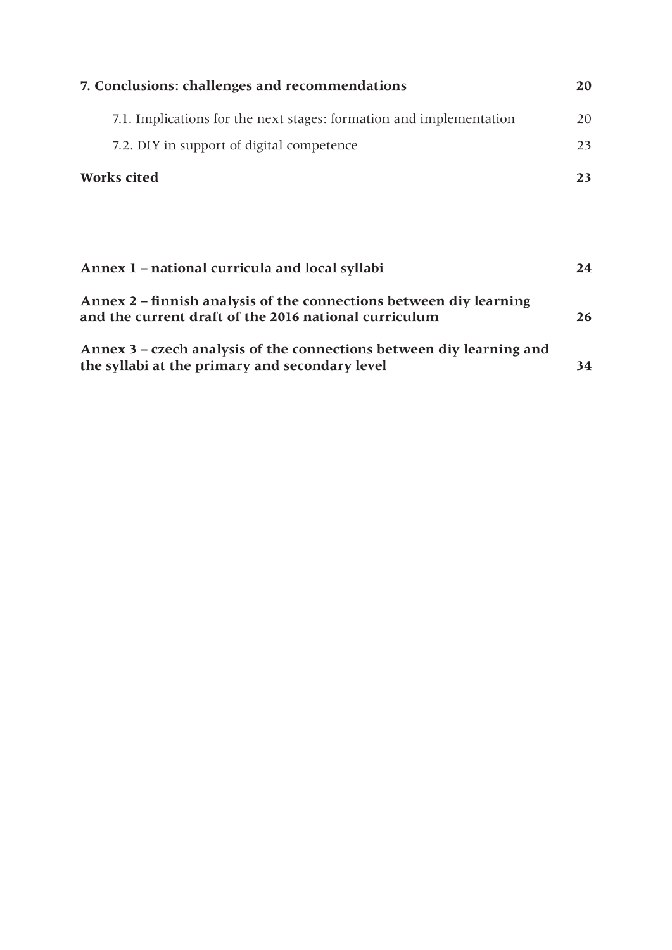| 7. Conclusions: challenges and recommendations                                                                              |    |  |  |  |
|-----------------------------------------------------------------------------------------------------------------------------|----|--|--|--|
| 7.1. Implications for the next stages: formation and implementation                                                         | 20 |  |  |  |
| 7.2. DIY in support of digital competence                                                                                   | 23 |  |  |  |
| <b>Works cited</b>                                                                                                          | 23 |  |  |  |
|                                                                                                                             |    |  |  |  |
|                                                                                                                             |    |  |  |  |
| Annex 1 – national curricula and local syllabi                                                                              | 24 |  |  |  |
| Annex 2 – finnish analysis of the connections between diy learning<br>and the current draft of the 2016 national curriculum |    |  |  |  |
| Annex 3 – czech analysis of the connections between diy learning and<br>the syllabi at the primary and secondary level      | 34 |  |  |  |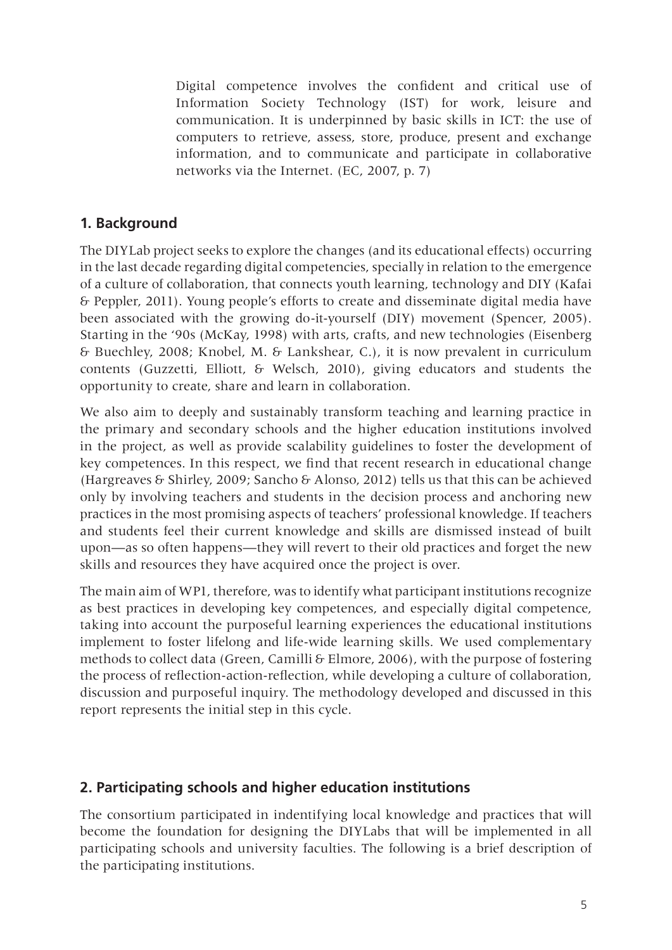Digital competence involves the confident and critical use of Information Society Technology (IST) for work, leisure and communication. It is underpinned by basic skills in ICT: the use of computers to retrieve, assess, store, produce, present and exchange information, and to communicate and participate in collaborative networks via the Internet. (EC, 2007, p. 7)

# **1. Background**

The DIYLab project seeks to explore the changes (and its educational effects) occurring in the last decade regarding digital competencies, specially in relation to the emergence of a culture of collaboration, that connects youth learning, technology and DIY (Kafai & Peppler, 2011). Young people's efforts to create and disseminate digital media have been associated with the growing do-it-yourself (DIY) movement (Spencer, 2005). Starting in the '90s (McKay, 1998) with arts, crafts, and new technologies (Eisenberg & Buechley, 2008; Knobel, M. & Lankshear, C.), it is now prevalent in curriculum contents (Guzzetti, Elliott, & Welsch, 2010), giving educators and students the opportunity to create, share and learn in collaboration.

We also aim to deeply and sustainably transform teaching and learning practice in the primary and secondary schools and the higher education institutions involved in the project, as well as provide scalability guidelines to foster the development of key competences. In this respect, we find that recent research in educational change (Hargreaves & Shirley, 2009; Sancho & Alonso, 2012) tells us that this can be achieved only by involving teachers and students in the decision process and anchoring new practices in the most promising aspects of teachers' professional knowledge. If teachers and students feel their current knowledge and skills are dismissed instead of built upon—as so often happens—they will revert to their old practices and forget the new skills and resources they have acquired once the project is over.

The main aim of WP1, therefore, was to identify what participant institutions recognize as best practices in developing key competences, and especially digital competence, taking into account the purposeful learning experiences the educational institutions implement to foster lifelong and life-wide learning skills. We used complementary methods to collect data (Green, Camilli & Elmore, 2006), with the purpose of fostering the process of reflection-action-reflection, while developing a culture of collaboration, discussion and purposeful inquiry. The methodology developed and discussed in this report represents the initial step in this cycle.

# **2. Participating schools and higher education institutions**

The consortium participated in indentifying local knowledge and practices that will become the foundation for designing the DIYLabs that will be implemented in all participating schools and university faculties. The following is a brief description of the participating institutions.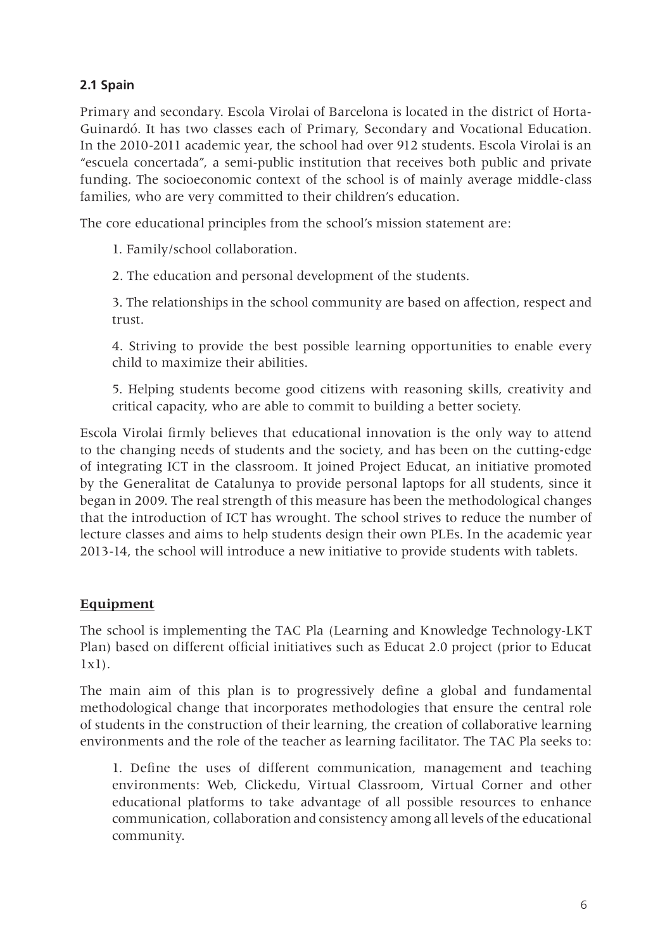## **2.1 Spain**

Primary and secondary. Escola Virolai of Barcelona is located in the district of Horta-Guinardó. It has two classes each of Primary, Secondary and Vocational Education. In the 2010-2011 academic year, the school had over 912 students. Escola Virolai is an "escuela concertada", a semi-public institution that receives both public and private funding. The socioeconomic context of the school is of mainly average middle-class families, who are very committed to their children's education.

The core educational principles from the school's mission statement are:

1. Family/school collaboration.

2. The education and personal development of the students.

3. The relationships in the school community are based on affection, respect and trust.

4. Striving to provide the best possible learning opportunities to enable every child to maximize their abilities.

5. Helping students become good citizens with reasoning skills, creativity and critical capacity, who are able to commit to building a better society.

Escola Virolai firmly believes that educational innovation is the only way to attend to the changing needs of students and the society, and has been on the cutting-edge of integrating ICT in the classroom. It joined Project Educat, an initiative promoted by the Generalitat de Catalunya to provide personal laptops for all students, since it began in 2009. The real strength of this measure has been the methodological changes that the introduction of ICT has wrought. The school strives to reduce the number of lecture classes and aims to help students design their own PLEs. In the academic year 2013-14, the school will introduce a new initiative to provide students with tablets.

#### **Equipment**

The school is implementing the TAC Pla (Learning and Knowledge Technology-LKT Plan) based on different official initiatives such as Educat 2.0 project (prior to Educat 1x1).

The main aim of this plan is to progressively define a global and fundamental methodological change that incorporates methodologies that ensure the central role of students in the construction of their learning, the creation of collaborative learning environments and the role of the teacher as learning facilitator. The TAC Pla seeks to:

1. Define the uses of different communication, management and teaching environments: Web, Clickedu, Virtual Classroom, Virtual Corner and other educational platforms to take advantage of all possible resources to enhance communication, collaboration and consistency among all levels of the educational community.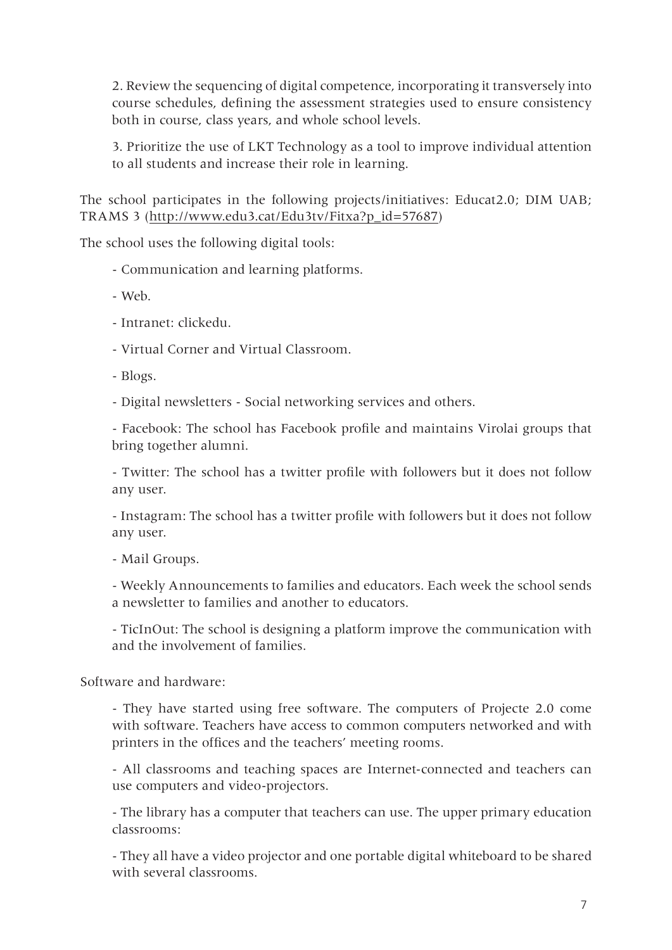2. Review the sequencing of digital competence, incorporating it transversely into course schedules, defining the assessment strategies used to ensure consistency both in course, class years, and whole school levels.

3. Prioritize the use of LKT Technology as a tool to improve individual attention to all students and increase their role in learning.

The school participates in the following projects/initiatives: Educat2.0; DIM UAB; TRAMS 3 (http://www.edu3.cat/Edu3tv/Fitxa?p\_id=57687)

The school uses the following digital tools:

- Communication and learning platforms.
- Web.
- Intranet: clickedu.
- Virtual Corner and Virtual Classroom.
- Blogs.

- Digital newsletters - Social networking services and others.

- Facebook: The school has Facebook profile and maintains Virolai groups that bring together alumni.

- Twitter: The school has a twitter profile with followers but it does not follow any user.

- Instagram: The school has a twitter profile with followers but it does not follow any user.

- Mail Groups.

- Weekly Announcements to families and educators. Each week the school sends a newsletter to families and another to educators.

- TicInOut: The school is designing a platform improve the communication with and the involvement of families.

Software and hardware:

- They have started using free software. The computers of Projecte 2.0 come with software. Teachers have access to common computers networked and with printers in the offices and the teachers' meeting rooms.

- All classrooms and teaching spaces are Internet-connected and teachers can use computers and video-projectors.

- The library has a computer that teachers can use. The upper primary education classrooms:

- They all have a video projector and one portable digital whiteboard to be shared with several classrooms.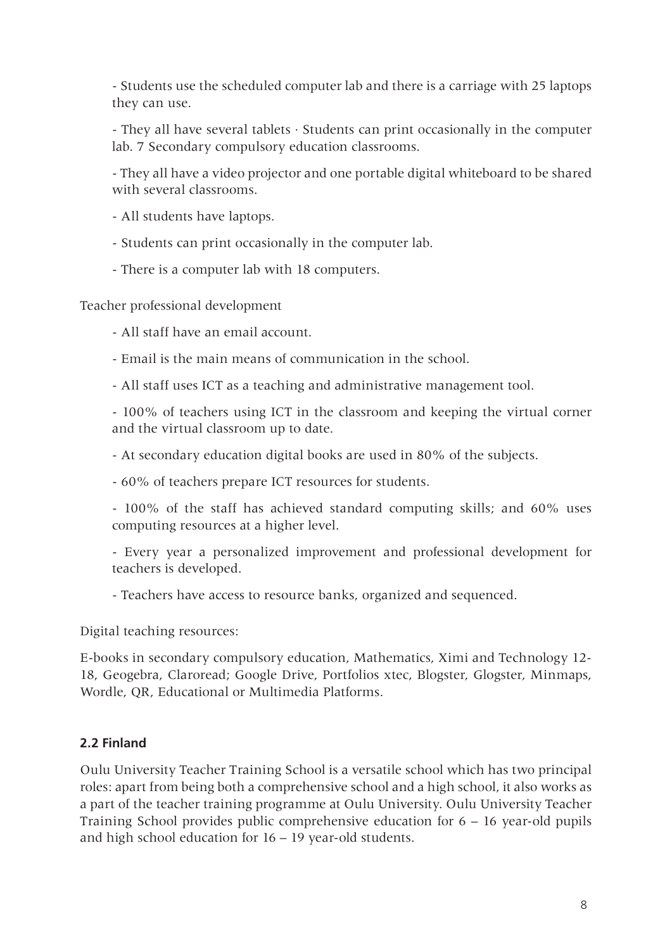- Students use the scheduled computer lab and there is a carriage with 25 laptops they can use.

- They all have several tablets · Students can print occasionally in the computer lab. 7 Secondary compulsory education classrooms.

- They all have a video projector and one portable digital whiteboard to be shared with several classrooms.

- All students have laptops.
- Students can print occasionally in the computer lab.
- There is a computer lab with 18 computers.

Teacher professional development

- All staff have an email account.
- Email is the main means of communication in the school.
- All staff uses ICT as a teaching and administrative management tool.

- 100% of teachers using ICT in the classroom and keeping the virtual corner and the virtual classroom up to date.

- At secondary education digital books are used in 80% of the subjects.
- 60% of teachers prepare ICT resources for students.
- 100% of the staff has achieved standard computing skills; and 60% uses computing resources at a higher level.
- Every year a personalized improvement and professional development for teachers is developed.
- Teachers have access to resource banks, organized and sequenced.

Digital teaching resources:

E-books in secondary compulsory education, Mathematics, Ximi and Technology 12- 18, Geogebra, Claroread; Google Drive, Portfolios xtec, Blogster, Glogster, Minmaps, Wordle, QR, Educational or Multimedia Platforms.

#### **2.2 Finland**

Oulu University Teacher Training School is a versatile school which has two principal roles: apart from being both a comprehensive school and a high school, it also works as a part of the teacher training programme at Oulu University. Oulu University Teacher Training School provides public comprehensive education for 6 – 16 year-old pupils and high school education for 16 – 19 year-old students.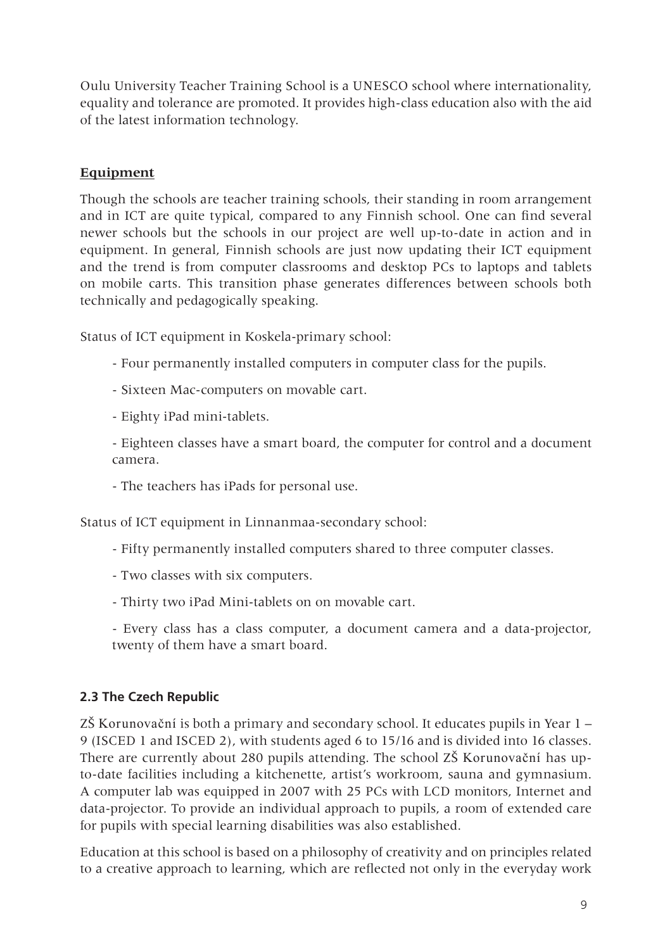Oulu University Teacher Training School is a UNESCO school where internationality, equality and tolerance are promoted. It provides high-class education also with the aid of the latest information technology.

#### **Equipment**

Though the schools are teacher training schools, their standing in room arrangement and in ICT are quite typical, compared to any Finnish school. One can find several newer schools but the schools in our project are well up-to-date in action and in equipment. In general, Finnish schools are just now updating their ICT equipment and the trend is from computer classrooms and desktop PCs to laptops and tablets on mobile carts. This transition phase generates differences between schools both technically and pedagogically speaking.

Status of ICT equipment in Koskela-primary school:

- Four permanently installed computers in computer class for the pupils.
- Sixteen Mac-computers on movable cart.
- Eighty iPad mini-tablets.

- Eighteen classes have a smart board, the computer for control and a document camera.

- The teachers has iPads for personal use.

Status of ICT equipment in Linnanmaa-secondary school:

- Fifty permanently installed computers shared to three computer classes.
- Two classes with six computers.
- Thirty two iPad Mini-tablets on on movable cart.
- Every class has a class computer, a document camera and a data-projector, twenty of them have a smart board.

# **2.3 The Czech Republic**

ZŠ Korunovační is both a primary and secondary school. It educates pupils in Year 1 – 9 (ISCED 1 and ISCED 2), with students aged 6 to 15/16 and is divided into 16 classes. There are currently about 280 pupils attending. The school ZŠ Korunovační has upto-date facilities including a kitchenette, artist's workroom, sauna and gymnasium. A computer lab was equipped in 2007 with 25 PCs with LCD monitors, Internet and data-projector. To provide an individual approach to pupils, a room of extended care for pupils with special learning disabilities was also established.

Education at this school is based on a philosophy of creativity and on principles related to a creative approach to learning, which are reflected not only in the everyday work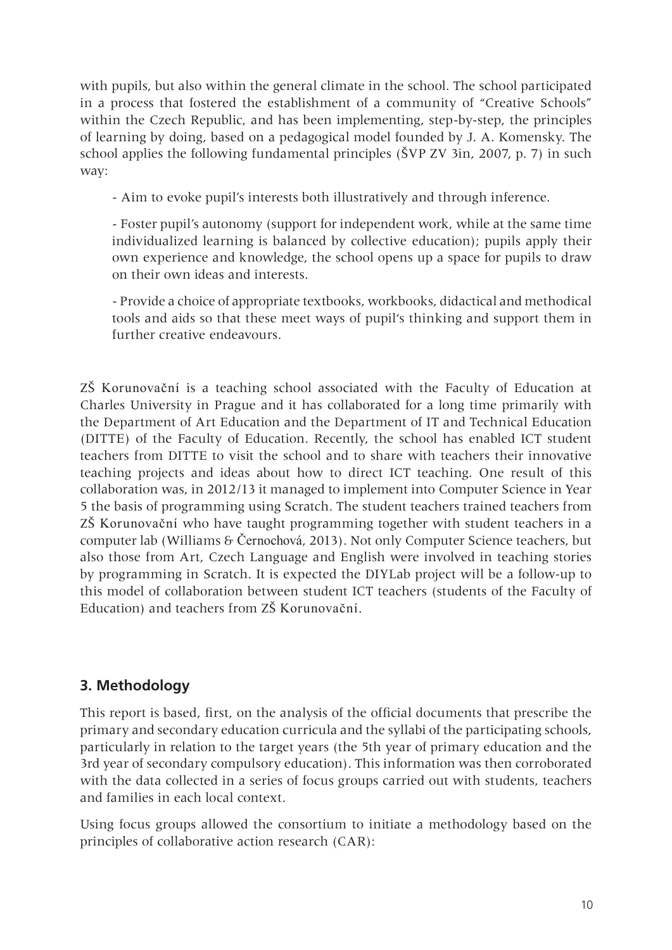with pupils, but also within the general climate in the school. The school participated in a process that fostered the establishment of a community of "Creative Schools" within the Czech Republic, and has been implementing, step-by-step, the principles of learning by doing, based on a pedagogical model founded by J. A. Komensky. The school applies the following fundamental principles (ŠVP ZV 3in, 2007, p. 7) in such way:

- Aim to evoke pupil's interests both illustratively and through inference.

- Foster pupil's autonomy (support for independent work, while at the same time individualized learning is balanced by collective education); pupils apply their own experience and knowledge, the school opens up a space for pupils to draw on their own ideas and interests.

- Provide a choice of appropriate textbooks, workbooks, didactical and methodical tools and aids so that these meet ways of pupil's thinking and support them in further creative endeavours.

ZŠ Korunovační is a teaching school associated with the Faculty of Education at Charles University in Prague and it has collaborated for a long time primarily with the Department of Art Education and the Department of IT and Technical Education (DITTE) of the Faculty of Education. Recently, the school has enabled ICT student teachers from DITTE to visit the school and to share with teachers their innovative teaching projects and ideas about how to direct ICT teaching. One result of this collaboration was, in 2012/13 it managed to implement into Computer Science in Year 5 the basis of programming using Scratch. The student teachers trained teachers from ZŠ Korunovační who have taught programming together with student teachers in a computer lab (Williams & Černochová, 2013). Not only Computer Science teachers, but also those from Art, Czech Language and English were involved in teaching stories by programming in Scratch. It is expected the DIYLab project will be a follow-up to this model of collaboration between student ICT teachers (students of the Faculty of Education) and teachers from ZŠ Korunovační.

# **3. Methodology**

This report is based, first, on the analysis of the official documents that prescribe the primary and secondary education curricula and the syllabi of the participating schools, particularly in relation to the target years (the 5th year of primary education and the 3rd year of secondary compulsory education). This information was then corroborated with the data collected in a series of focus groups carried out with students, teachers and families in each local context.

Using focus groups allowed the consortium to initiate a methodology based on the principles of collaborative action research (CAR):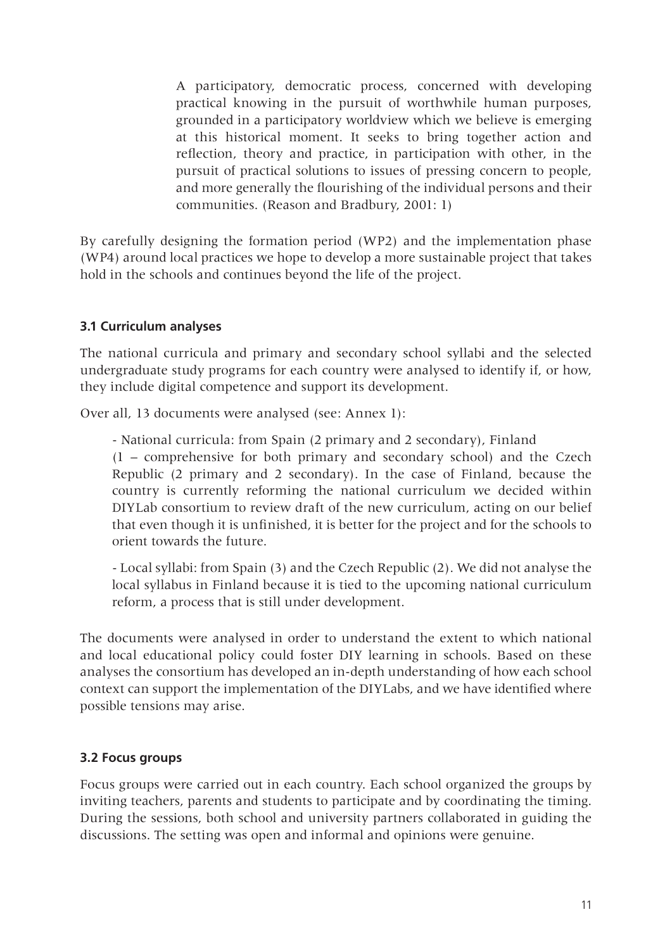A participatory, democratic process, concerned with developing practical knowing in the pursuit of worthwhile human purposes, grounded in a participatory worldview which we believe is emerging at this historical moment. It seeks to bring together action and reflection, theory and practice, in participation with other, in the pursuit of practical solutions to issues of pressing concern to people, and more generally the flourishing of the individual persons and their communities. (Reason and Bradbury, 2001: 1)

By carefully designing the formation period (WP2) and the implementation phase (WP4) around local practices we hope to develop a more sustainable project that takes hold in the schools and continues beyond the life of the project.

#### **3.1 Curriculum analyses**

The national curricula and primary and secondary school syllabi and the selected undergraduate study programs for each country were analysed to identify if, or how, they include digital competence and support its development.

Over all, 13 documents were analysed (see: Annex 1):

- National curricula: from Spain (2 primary and 2 secondary), Finland (1 – comprehensive for both primary and secondary school) and the Czech Republic (2 primary and 2 secondary). In the case of Finland, because the country is currently reforming the national curriculum we decided within DIYLab consortium to review draft of the new curriculum, acting on our belief that even though it is unfinished, it is better for the project and for the schools to orient towards the future.

- Local syllabi: from Spain (3) and the Czech Republic (2). We did not analyse the local syllabus in Finland because it is tied to the upcoming national curriculum reform, a process that is still under development.

The documents were analysed in order to understand the extent to which national and local educational policy could foster DIY learning in schools. Based on these analyses the consortium has developed an in-depth understanding of how each school context can support the implementation of the DIYLabs, and we have identified where possible tensions may arise.

#### **3.2 Focus groups**

Focus groups were carried out in each country. Each school organized the groups by inviting teachers, parents and students to participate and by coordinating the timing. During the sessions, both school and university partners collaborated in guiding the discussions. The setting was open and informal and opinions were genuine.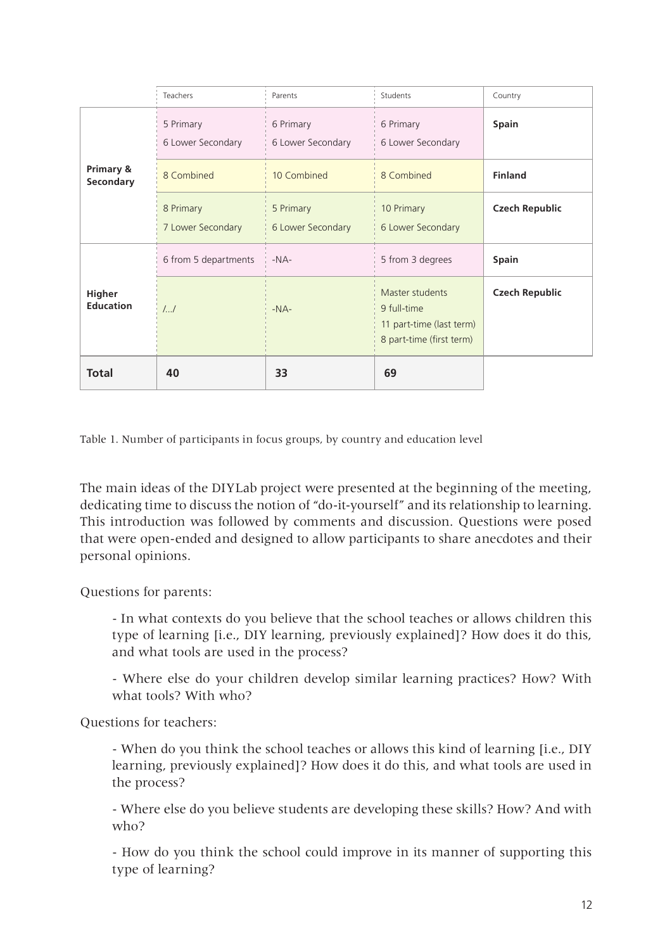|                                   | Teachers                       | Parents                        | Students                                                                               | Country               |
|-----------------------------------|--------------------------------|--------------------------------|----------------------------------------------------------------------------------------|-----------------------|
|                                   | 5 Primary<br>6 Lower Secondary | 6 Primary<br>6 Lower Secondary | 6 Primary<br>6 Lower Secondary                                                         | <b>Spain</b>          |
| Primary &<br>Secondary            | 8 Combined                     | 10 Combined                    | 8 Combined                                                                             | <b>Finland</b>        |
|                                   | 8 Primary<br>7 Lower Secondary | 5 Primary<br>6 Lower Secondary | 10 Primary<br>6 Lower Secondary                                                        | <b>Czech Republic</b> |
|                                   | 6 from 5 departments           | $-NA-$                         | 5 from 3 degrees                                                                       | <b>Spain</b>          |
| <b>Higher</b><br><b>Education</b> | 11                             | $-NA-$                         | Master students<br>9 full-time<br>11 part-time (last term)<br>8 part-time (first term) | <b>Czech Republic</b> |
| Total                             | 40                             | 33                             | 69                                                                                     |                       |

Table 1. Number of participants in focus groups, by country and education level

The main ideas of the DIYLab project were presented at the beginning of the meeting, dedicating time to discuss the notion of "do-it-yourself" and its relationship to learning. This introduction was followed by comments and discussion. Questions were posed that were open-ended and designed to allow participants to share anecdotes and their personal opinions.

Questions for parents:

- In what contexts do you believe that the school teaches or allows children this type of learning [i.e., DIY learning, previously explained]? How does it do this, and what tools are used in the process?

- Where else do your children develop similar learning practices? How? With what tools? With who?

Questions for teachers:

- When do you think the school teaches or allows this kind of learning [i.e., DIY learning, previously explained]? How does it do this, and what tools are used in the process?

- Where else do you believe students are developing these skills? How? And with who?

- How do you think the school could improve in its manner of supporting this type of learning?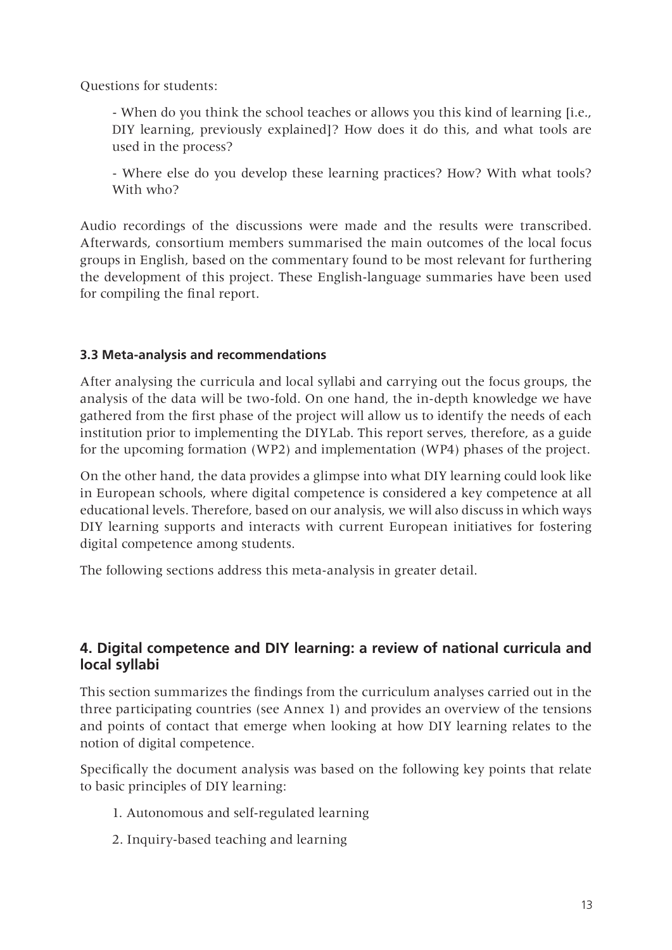Questions for students:

- When do you think the school teaches or allows you this kind of learning [i.e., DIY learning, previously explained]? How does it do this, and what tools are used in the process?

- Where else do you develop these learning practices? How? With what tools? With who?

Audio recordings of the discussions were made and the results were transcribed. Afterwards, consortium members summarised the main outcomes of the local focus groups in English, based on the commentary found to be most relevant for furthering the development of this project. These English-language summaries have been used for compiling the final report.

#### **3.3 Meta-analysis and recommendations**

After analysing the curricula and local syllabi and carrying out the focus groups, the analysis of the data will be two-fold. On one hand, the in-depth knowledge we have gathered from the first phase of the project will allow us to identify the needs of each institution prior to implementing the DIYLab. This report serves, therefore, as a guide for the upcoming formation (WP2) and implementation (WP4) phases of the project.

On the other hand, the data provides a glimpse into what DIY learning could look like in European schools, where digital competence is considered a key competence at all educational levels. Therefore, based on our analysis, we will also discuss in which ways DIY learning supports and interacts with current European initiatives for fostering digital competence among students.

The following sections address this meta-analysis in greater detail.

## **4. Digital competence and DIY learning: a review of national curricula and local syllabi**

This section summarizes the findings from the curriculum analyses carried out in the three participating countries (see Annex 1) and provides an overview of the tensions and points of contact that emerge when looking at how DIY learning relates to the notion of digital competence.

Specifically the document analysis was based on the following key points that relate to basic principles of DIY learning:

- 1. Autonomous and self-regulated learning
- 2. Inquiry-based teaching and learning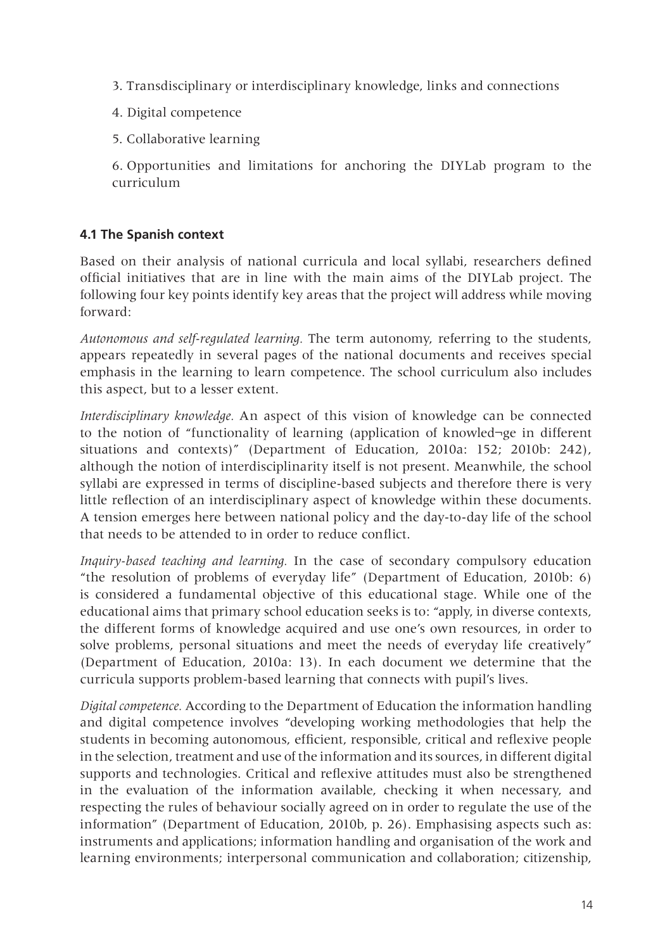- 3. Transdisciplinary or interdisciplinary knowledge, links and connections
- 4. Digital competence
- 5. Collaborative learning

6. Opportunities and limitations for anchoring the DIYLab program to the curriculum

# **4.1 The Spanish context**

Based on their analysis of national curricula and local syllabi, researchers defined official initiatives that are in line with the main aims of the DIYLab project. The following four key points identify key areas that the project will address while moving forward:

*Autonomous and self-regulated learning.* The term autonomy, referring to the students, appears repeatedly in several pages of the national documents and receives special emphasis in the learning to learn competence. The school curriculum also includes this aspect, but to a lesser extent.

*Interdisciplinary knowledge.* An aspect of this vision of knowledge can be connected to the notion of "functionality of learning (application of knowled¬ge in different situations and contexts)" (Department of Education, 2010a: 152; 2010b: 242), although the notion of interdisciplinarity itself is not present. Meanwhile, the school syllabi are expressed in terms of discipline-based subjects and therefore there is very little reflection of an interdisciplinary aspect of knowledge within these documents. A tension emerges here between national policy and the day-to-day life of the school that needs to be attended to in order to reduce conflict.

*Inquiry-based teaching and learning.* In the case of secondary compulsory education "the resolution of problems of everyday life" (Department of Education, 2010b: 6) is considered a fundamental objective of this educational stage. While one of the educational aims that primary school education seeks is to: "apply, in diverse contexts, the different forms of knowledge acquired and use one's own resources, in order to solve problems, personal situations and meet the needs of everyday life creatively" (Department of Education, 2010a: 13). In each document we determine that the curricula supports problem-based learning that connects with pupil's lives.

*Digital competence.* According to the Department of Education the information handling and digital competence involves "developing working methodologies that help the students in becoming autonomous, efficient, responsible, critical and reflexive people in the selection, treatment and use of the information and its sources, in different digital supports and technologies. Critical and reflexive attitudes must also be strengthened in the evaluation of the information available, checking it when necessary, and respecting the rules of behaviour socially agreed on in order to regulate the use of the information" (Department of Education, 2010b, p. 26). Emphasising aspects such as: instruments and applications; information handling and organisation of the work and learning environments; interpersonal communication and collaboration; citizenship,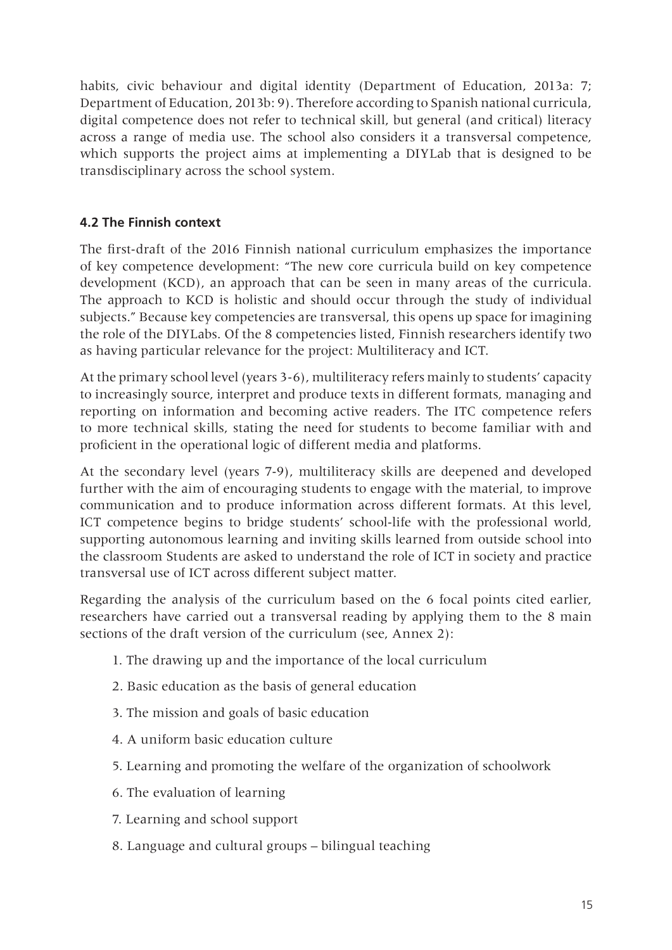habits, civic behaviour and digital identity (Department of Education, 2013a: 7; Department of Education, 2013b: 9). Therefore according to Spanish national curricula, digital competence does not refer to technical skill, but general (and critical) literacy across a range of media use. The school also considers it a transversal competence, which supports the project aims at implementing a DIYLab that is designed to be transdisciplinary across the school system.

# **4.2 The Finnish context**

The first-draft of the 2016 Finnish national curriculum emphasizes the importance of key competence development: "The new core curricula build on key competence development (KCD), an approach that can be seen in many areas of the curricula. The approach to KCD is holistic and should occur through the study of individual subjects." Because key competencies are transversal, this opens up space for imagining the role of the DIYLabs. Of the 8 competencies listed, Finnish researchers identify two as having particular relevance for the project: Multiliteracy and ICT.

At the primary school level (years 3-6), multiliteracy refers mainly to students' capacity to increasingly source, interpret and produce texts in different formats, managing and reporting on information and becoming active readers. The ITC competence refers to more technical skills, stating the need for students to become familiar with and proficient in the operational logic of different media and platforms.

At the secondary level (years 7-9), multiliteracy skills are deepened and developed further with the aim of encouraging students to engage with the material, to improve communication and to produce information across different formats. At this level, ICT competence begins to bridge students' school-life with the professional world, supporting autonomous learning and inviting skills learned from outside school into the classroom Students are asked to understand the role of ICT in society and practice transversal use of ICT across different subject matter.

Regarding the analysis of the curriculum based on the 6 focal points cited earlier, researchers have carried out a transversal reading by applying them to the 8 main sections of the draft version of the curriculum (see, Annex 2):

- 1. The drawing up and the importance of the local curriculum
- 2. Basic education as the basis of general education
- 3. The mission and goals of basic education
- 4. A uniform basic education culture
- 5. Learning and promoting the welfare of the organization of schoolwork
- 6. The evaluation of learning
- 7. Learning and school support
- 8. Language and cultural groups bilingual teaching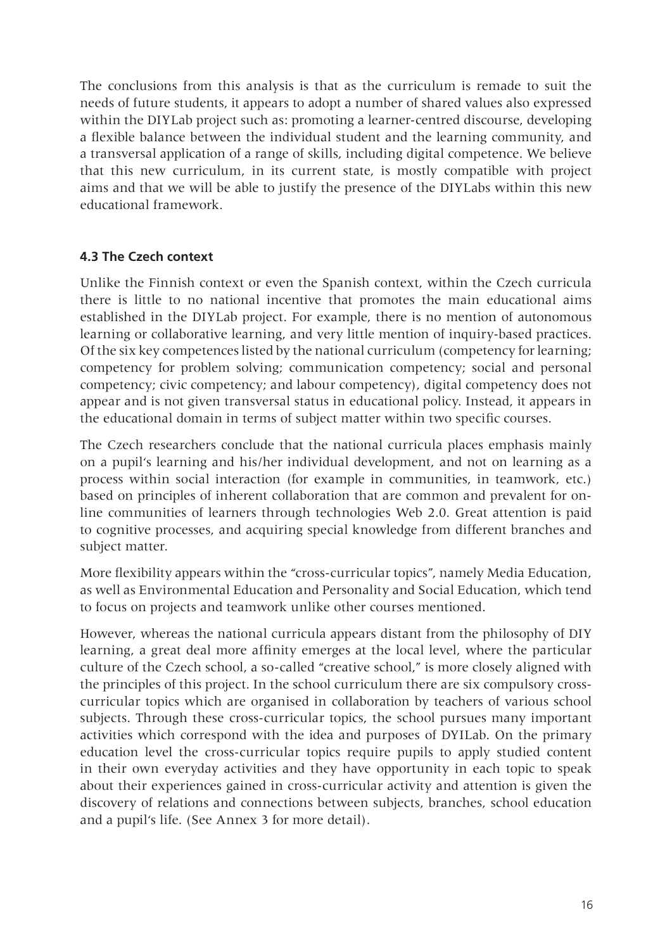The conclusions from this analysis is that as the curriculum is remade to suit the needs of future students, it appears to adopt a number of shared values also expressed within the DIYLab project such as: promoting a learner-centred discourse, developing a flexible balance between the individual student and the learning community, and a transversal application of a range of skills, including digital competence. We believe that this new curriculum, in its current state, is mostly compatible with project aims and that we will be able to justify the presence of the DIYLabs within this new educational framework.

## **4.3 The Czech context**

Unlike the Finnish context or even the Spanish context, within the Czech curricula there is little to no national incentive that promotes the main educational aims established in the DIYLab project. For example, there is no mention of autonomous learning or collaborative learning, and very little mention of inquiry-based practices. Of the six key competences listed by the national curriculum (competency for learning; competency for problem solving; communication competency; social and personal competency; civic competency; and labour competency), digital competency does not appear and is not given transversal status in educational policy. Instead, it appears in the educational domain in terms of subject matter within two specific courses.

The Czech researchers conclude that the national curricula places emphasis mainly on a pupil's learning and his/her individual development, and not on learning as a process within social interaction (for example in communities, in teamwork, etc.) based on principles of inherent collaboration that are common and prevalent for online communities of learners through technologies Web 2.0. Great attention is paid to cognitive processes, and acquiring special knowledge from different branches and subject matter.

More flexibility appears within the "cross-curricular topics", namely Media Education, as well as Environmental Education and Personality and Social Education, which tend to focus on projects and teamwork unlike other courses mentioned.

However, whereas the national curricula appears distant from the philosophy of DIY learning, a great deal more affinity emerges at the local level, where the particular culture of the Czech school, a so-called "creative school," is more closely aligned with the principles of this project. In the school curriculum there are six compulsory crosscurricular topics which are organised in collaboration by teachers of various school subjects. Through these cross-curricular topics, the school pursues many important activities which correspond with the idea and purposes of DYILab. On the primary education level the cross-curricular topics require pupils to apply studied content in their own everyday activities and they have opportunity in each topic to speak about their experiences gained in cross-curricular activity and attention is given the discovery of relations and connections between subjects, branches, school education and a pupil's life. (See Annex 3 for more detail).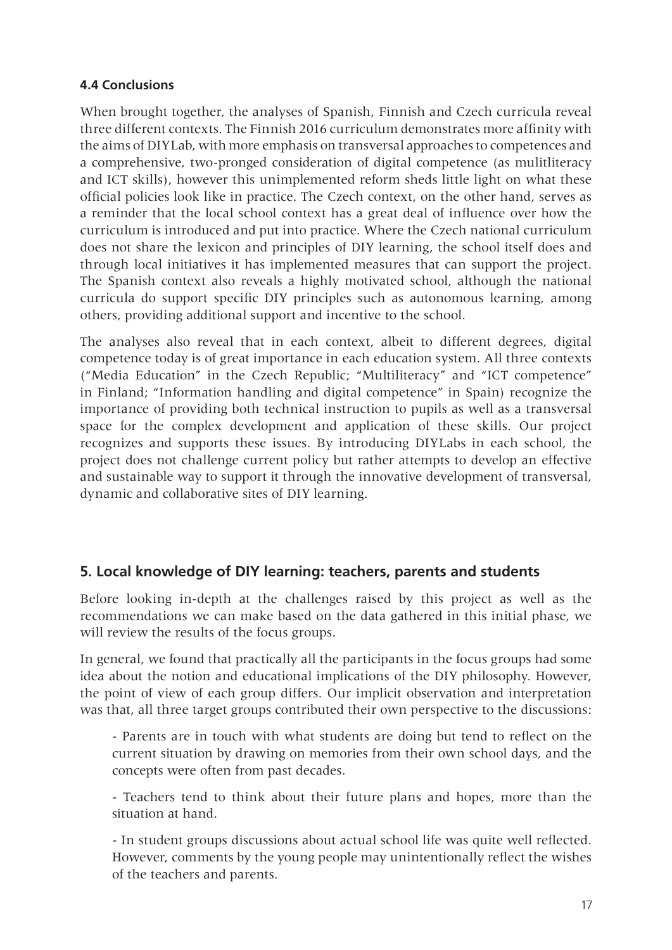#### **4.4 Conclusions**

When brought together, the analyses of Spanish, Finnish and Czech curricula reveal three different contexts. The Finnish 2016 curriculum demonstrates more affinity with the aims of DIYLab, with more emphasis on transversal approaches to competences and a comprehensive, two-pronged consideration of digital competence (as mulitliteracy and ICT skills), however this unimplemented reform sheds little light on what these official policies look like in practice. The Czech context, on the other hand, serves as a reminder that the local school context has a great deal of influence over how the curriculum is introduced and put into practice. Where the Czech national curriculum does not share the lexicon and principles of DIY learning, the school itself does and through local initiatives it has implemented measures that can support the project. The Spanish context also reveals a highly motivated school, although the national curricula do support specific DIY principles such as autonomous learning, among others, providing additional support and incentive to the school.

The analyses also reveal that in each context, albeit to different degrees, digital competence today is of great importance in each education system. All three contexts ("Media Education" in the Czech Republic; "Multiliteracy" and "ICT competence" in Finland; "Information handling and digital competence" in Spain) recognize the importance of providing both technical instruction to pupils as well as a transversal space for the complex development and application of these skills. Our project recognizes and supports these issues. By introducing DIYLabs in each school, the project does not challenge current policy but rather attempts to develop an effective and sustainable way to support it through the innovative development of transversal, dynamic and collaborative sites of DIY learning.

# **5. Local knowledge of DIY learning: teachers, parents and students**

Before looking in-depth at the challenges raised by this project as well as the recommendations we can make based on the data gathered in this initial phase, we will review the results of the focus groups.

In general, we found that practically all the participants in the focus groups had some idea about the notion and educational implications of the DIY philosophy. However, the point of view of each group differs. Our implicit observation and interpretation was that, all three target groups contributed their own perspective to the discussions:

- Parents are in touch with what students are doing but tend to reflect on the current situation by drawing on memories from their own school days, and the concepts were often from past decades.

- Teachers tend to think about their future plans and hopes, more than the situation at hand.

- In student groups discussions about actual school life was quite well reflected. However, comments by the young people may unintentionally reflect the wishes of the teachers and parents.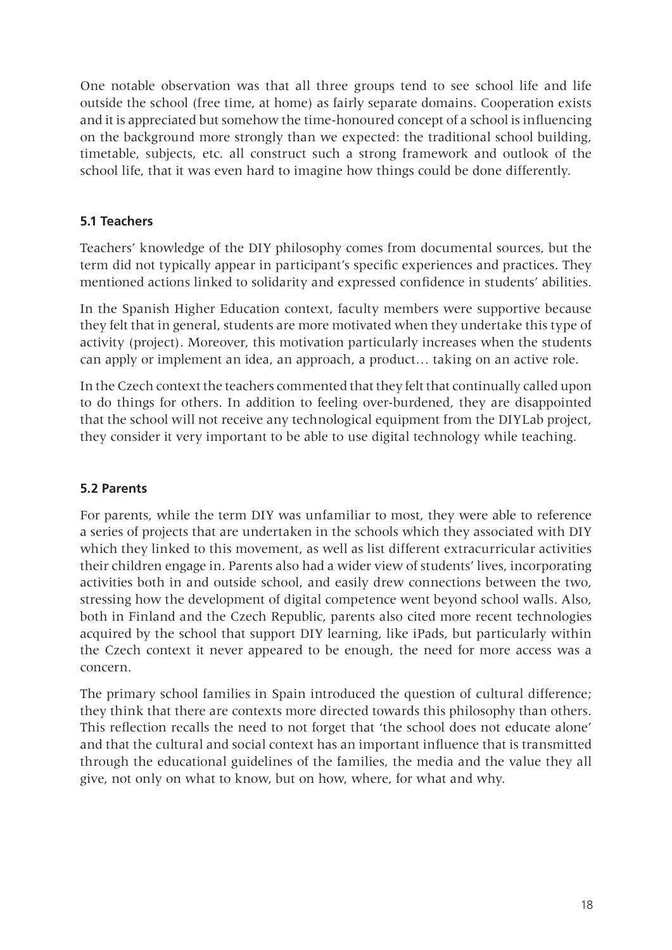One notable observation was that all three groups tend to see school life and life outside the school (free time, at home) as fairly separate domains. Cooperation exists and it is appreciated but somehow the time-honoured concept of a school is influencing on the background more strongly than we expected: the traditional school building, timetable, subjects, etc. all construct such a strong framework and outlook of the school life, that it was even hard to imagine how things could be done differently.

# **5.1 Teachers**

Teachers' knowledge of the DIY philosophy comes from documental sources, but the term did not typically appear in participant's specific experiences and practices. They mentioned actions linked to solidarity and expressed confidence in students' abilities.

In the Spanish Higher Education context, faculty members were supportive because they felt that in general, students are more motivated when they undertake this type of activity (project). Moreover, this motivation particularly increases when the students can apply or implement an idea, an approach, a product… taking on an active role.

In the Czech context the teachers commented that they felt that continually called upon to do things for others. In addition to feeling over-burdened, they are disappointed that the school will not receive any technological equipment from the DIYLab project, they consider it very important to be able to use digital technology while teaching.

#### **5.2 Parents**

For parents, while the term DIY was unfamiliar to most, they were able to reference a series of projects that are undertaken in the schools which they associated with DIY which they linked to this movement, as well as list different extracurricular activities their children engage in. Parents also had a wider view of students' lives, incorporating activities both in and outside school, and easily drew connections between the two, stressing how the development of digital competence went beyond school walls. Also, both in Finland and the Czech Republic, parents also cited more recent technologies acquired by the school that support DIY learning, like iPads, but particularly within the Czech context it never appeared to be enough, the need for more access was a concern.

The primary school families in Spain introduced the question of cultural difference; they think that there are contexts more directed towards this philosophy than others. This reflection recalls the need to not forget that 'the school does not educate alone' and that the cultural and social context has an important influence that is transmitted through the educational guidelines of the families, the media and the value they all give, not only on what to know, but on how, where, for what and why.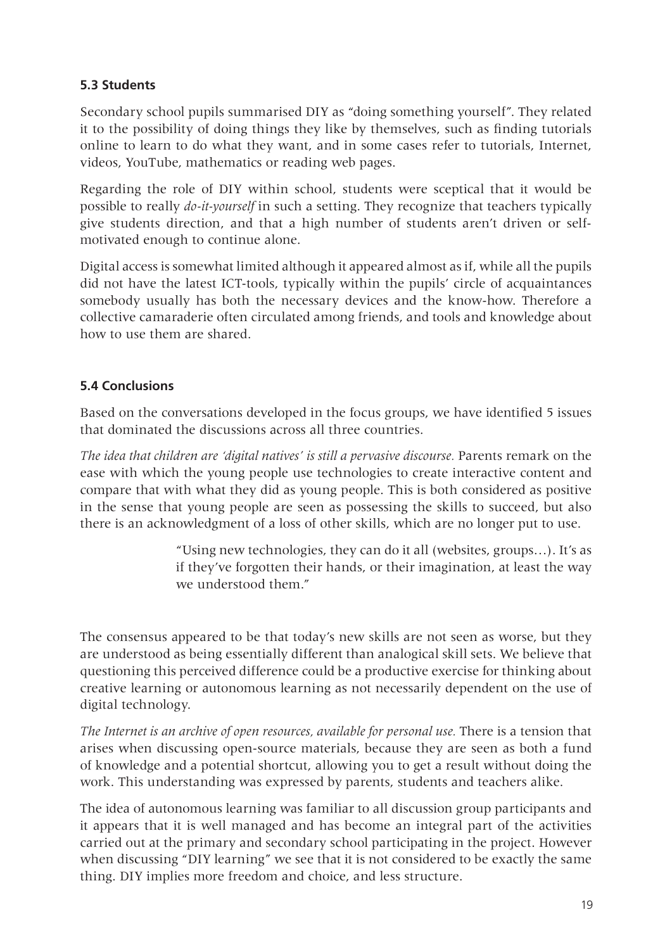## **5.3 Students**

Secondary school pupils summarised DIY as "doing something yourself". They related it to the possibility of doing things they like by themselves, such as finding tutorials online to learn to do what they want, and in some cases refer to tutorials, Internet, videos, YouTube, mathematics or reading web pages.

Regarding the role of DIY within school, students were sceptical that it would be possible to really *do-it-yourself* in such a setting. They recognize that teachers typically give students direction, and that a high number of students aren't driven or selfmotivated enough to continue alone.

Digital access is somewhat limited although it appeared almost as if, while all the pupils did not have the latest ICT-tools, typically within the pupils' circle of acquaintances somebody usually has both the necessary devices and the know-how. Therefore a collective camaraderie often circulated among friends, and tools and knowledge about how to use them are shared.

## **5.4 Conclusions**

Based on the conversations developed in the focus groups, we have identified 5 issues that dominated the discussions across all three countries.

*The idea that children are 'digital natives' is still a pervasive discourse.* Parents remark on the ease with which the young people use technologies to create interactive content and compare that with what they did as young people. This is both considered as positive in the sense that young people are seen as possessing the skills to succeed, but also there is an acknowledgment of a loss of other skills, which are no longer put to use.

> "Using new technologies, they can do it all (websites, groups…). It's as if they've forgotten their hands, or their imagination, at least the way we understood them."

The consensus appeared to be that today's new skills are not seen as worse, but they are understood as being essentially different than analogical skill sets. We believe that questioning this perceived difference could be a productive exercise for thinking about creative learning or autonomous learning as not necessarily dependent on the use of digital technology.

*The Internet is an archive of open resources, available for personal use.* There is a tension that arises when discussing open-source materials, because they are seen as both a fund of knowledge and a potential shortcut, allowing you to get a result without doing the work. This understanding was expressed by parents, students and teachers alike.

The idea of autonomous learning was familiar to all discussion group participants and it appears that it is well managed and has become an integral part of the activities carried out at the primary and secondary school participating in the project. However when discussing "DIY learning" we see that it is not considered to be exactly the same thing. DIY implies more freedom and choice, and less structure.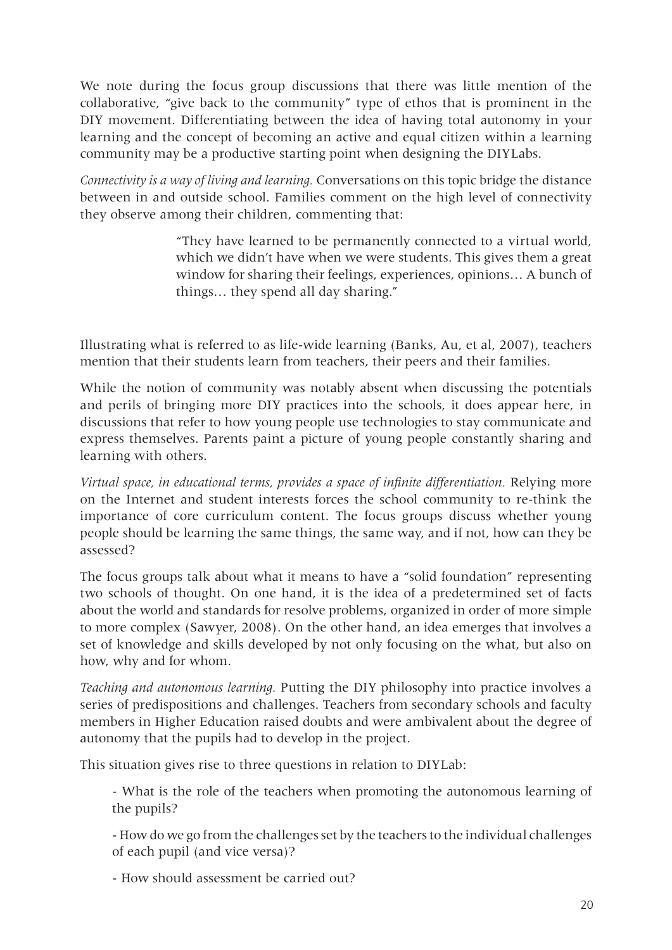We note during the focus group discussions that there was little mention of the collaborative, "give back to the community" type of ethos that is prominent in the DIY movement. Differentiating between the idea of having total autonomy in your learning and the concept of becoming an active and equal citizen within a learning community may be a productive starting point when designing the DIYLabs.

*Connectivity is a way of living and learning.* Conversations on this topic bridge the distance between in and outside school. Families comment on the high level of connectivity they observe among their children, commenting that:

> "They have learned to be permanently connected to a virtual world, which we didn't have when we were students. This gives them a great window for sharing their feelings, experiences, opinions… A bunch of things… they spend all day sharing."

Illustrating what is referred to as life-wide learning (Banks, Au, et al, 2007), teachers mention that their students learn from teachers, their peers and their families.

While the notion of community was notably absent when discussing the potentials and perils of bringing more DIY practices into the schools, it does appear here, in discussions that refer to how young people use technologies to stay communicate and express themselves. Parents paint a picture of young people constantly sharing and learning with others.

*Virtual space, in educational terms, provides a space of infinite differentiation.* Relying more on the Internet and student interests forces the school community to re-think the importance of core curriculum content. The focus groups discuss whether young people should be learning the same things, the same way, and if not, how can they be assessed?

The focus groups talk about what it means to have a "solid foundation" representing two schools of thought. On one hand, it is the idea of a predetermined set of facts about the world and standards for resolve problems, organized in order of more simple to more complex (Sawyer, 2008). On the other hand, an idea emerges that involves a set of knowledge and skills developed by not only focusing on the what, but also on how, why and for whom.

*Teaching and autonomous learning.* Putting the DIY philosophy into practice involves a series of predispositions and challenges. Teachers from secondary schools and faculty members in Higher Education raised doubts and were ambivalent about the degree of autonomy that the pupils had to develop in the project.

This situation gives rise to three questions in relation to DIYLab:

- What is the role of the teachers when promoting the autonomous learning of the pupils?

- How do we go from the challenges set by the teachers to the individual challenges of each pupil (and vice versa)?

- How should assessment be carried out?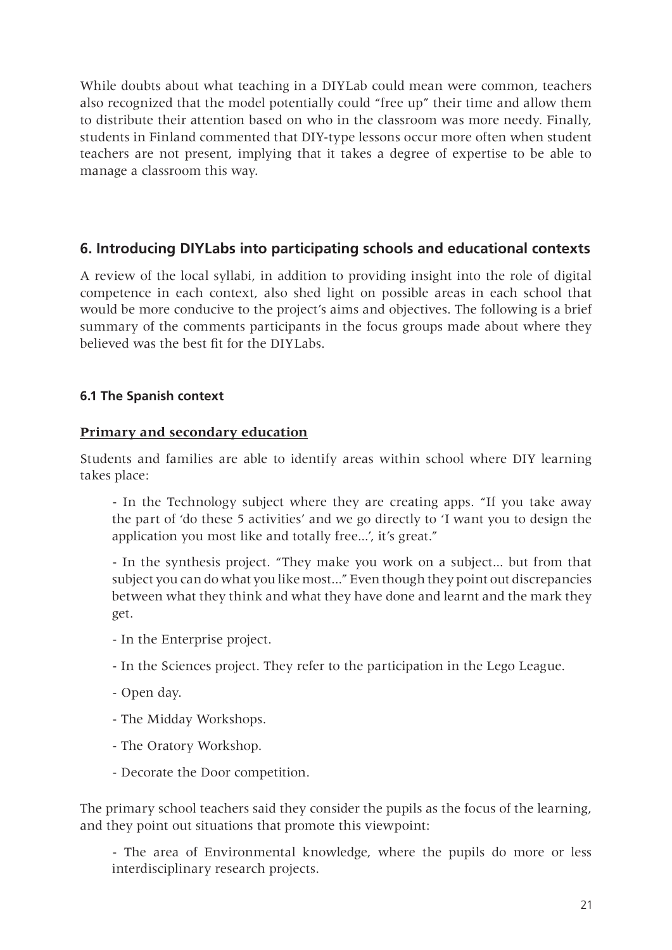While doubts about what teaching in a DIYLab could mean were common, teachers also recognized that the model potentially could "free up" their time and allow them to distribute their attention based on who in the classroom was more needy. Finally, students in Finland commented that DIY-type lessons occur more often when student teachers are not present, implying that it takes a degree of expertise to be able to manage a classroom this way.

# **6. Introducing DIYLabs into participating schools and educational contexts**

A review of the local syllabi, in addition to providing insight into the role of digital competence in each context, also shed light on possible areas in each school that would be more conducive to the project's aims and objectives. The following is a brief summary of the comments participants in the focus groups made about where they believed was the best fit for the DIYLabs.

#### **6.1 The Spanish context**

## **Primary and secondary education**

Students and families are able to identify areas within school where DIY learning takes place:

- In the Technology subject where they are creating apps. "If you take away the part of 'do these 5 activities' and we go directly to 'I want you to design the application you most like and totally free...', it's great."

- In the synthesis project. "They make you work on a subject... but from that subject you can do what you like most..." Even though they point out discrepancies between what they think and what they have done and learnt and the mark they get.

- In the Enterprise project.
- In the Sciences project. They refer to the participation in the Lego League.
- Open day.
- The Midday Workshops.
- The Oratory Workshop.
- Decorate the Door competition.

The primary school teachers said they consider the pupils as the focus of the learning, and they point out situations that promote this viewpoint:

- The area of Environmental knowledge, where the pupils do more or less interdisciplinary research projects.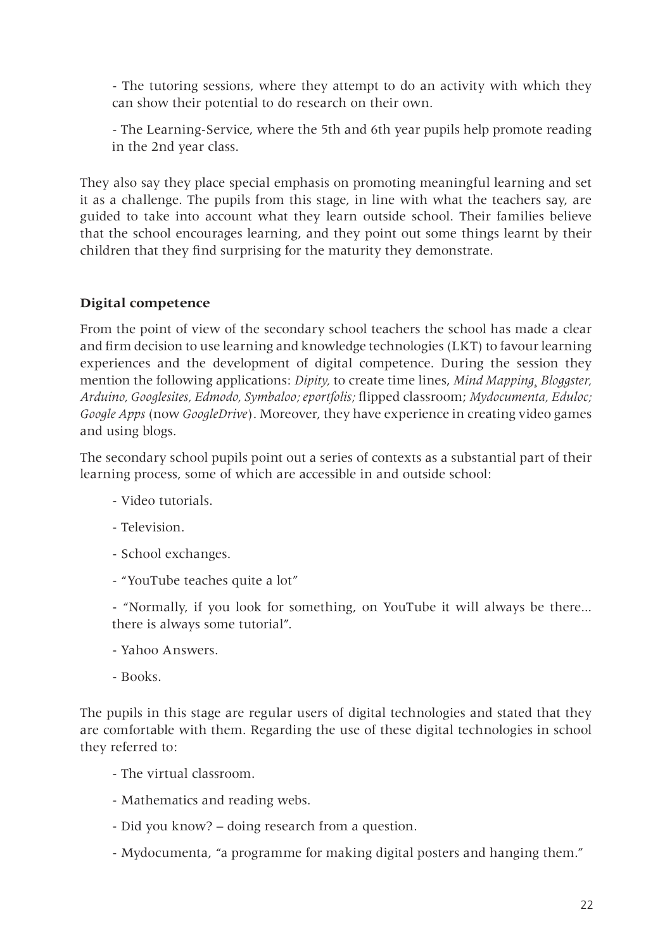- The tutoring sessions, where they attempt to do an activity with which they can show their potential to do research on their own.

- The Learning-Service, where the 5th and 6th year pupils help promote reading in the 2nd year class.

They also say they place special emphasis on promoting meaningful learning and set it as a challenge. The pupils from this stage, in line with what the teachers say, are guided to take into account what they learn outside school. Their families believe that the school encourages learning, and they point out some things learnt by their children that they find surprising for the maturity they demonstrate.

## **Digital competence**

From the point of view of the secondary school teachers the school has made a clear and firm decision to use learning and knowledge technologies (LKT) to favour learning experiences and the development of digital competence. During the session they mention the following applications: *Dipity,* to create time lines, *Mind Mapping¸ Bloggster, Arduino, Googlesites, Edmodo, Symbaloo; eportfolis;* flipped classroom; *Mydocumenta, Eduloc; Google Apps* (now *GoogleDrive*). Moreover, they have experience in creating video games and using blogs.

The secondary school pupils point out a series of contexts as a substantial part of their learning process, some of which are accessible in and outside school:

- Video tutorials.
- Television.
- School exchanges.
- "YouTube teaches quite a lot"

- "Normally, if you look for something, on YouTube it will always be there... there is always some tutorial".

- Yahoo Answers.
- Books.

The pupils in this stage are regular users of digital technologies and stated that they are comfortable with them. Regarding the use of these digital technologies in school they referred to:

- The virtual classroom.
- Mathematics and reading webs.
- Did you know? doing research from a question.
- Mydocumenta, "a programme for making digital posters and hanging them."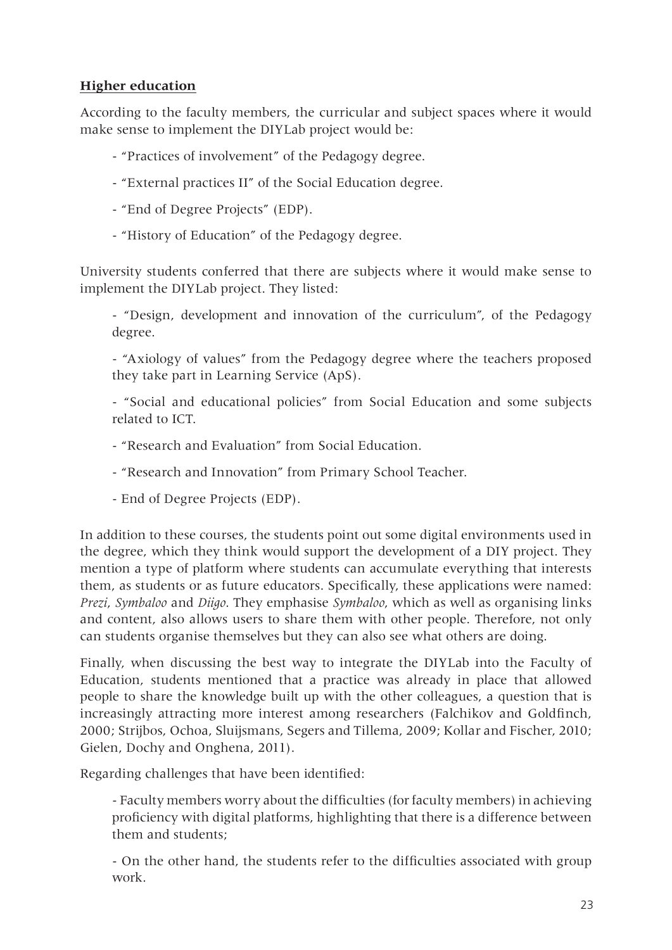## **Higher education**

According to the faculty members, the curricular and subject spaces where it would make sense to implement the DIYLab project would be:

- "Practices of involvement" of the Pedagogy degree.
- "External practices II" of the Social Education degree.
- "End of Degree Projects" (EDP).
- "History of Education" of the Pedagogy degree.

University students conferred that there are subjects where it would make sense to implement the DIYLab project. They listed:

- "Design, development and innovation of the curriculum", of the Pedagogy degree.

- "Axiology of values" from the Pedagogy degree where the teachers proposed they take part in Learning Service (ApS).

- "Social and educational policies" from Social Education and some subjects related to ICT.

- "Research and Evaluation" from Social Education.
- "Research and Innovation" from Primary School Teacher.
- End of Degree Projects (EDP).

In addition to these courses, the students point out some digital environments used in the degree, which they think would support the development of a DIY project. They mention a type of platform where students can accumulate everything that interests them, as students or as future educators. Specifically, these applications were named: *Prezi*, *Symbaloo* and *Diigo*. They emphasise *Symbaloo*, which as well as organising links and content, also allows users to share them with other people. Therefore, not only can students organise themselves but they can also see what others are doing.

Finally, when discussing the best way to integrate the DIYLab into the Faculty of Education, students mentioned that a practice was already in place that allowed people to share the knowledge built up with the other colleagues, a question that is increasingly attracting more interest among researchers (Falchikov and Goldfinch, 2000; Strijbos, Ochoa, Sluijsmans, Segers and Tillema, 2009; Kollar and Fischer, 2010; Gielen, Dochy and Onghena, 2011).

Regarding challenges that have been identified:

- Faculty members worry about the difficulties (for faculty members) in achieving proficiency with digital platforms, highlighting that there is a difference between them and students;

- On the other hand, the students refer to the difficulties associated with group work.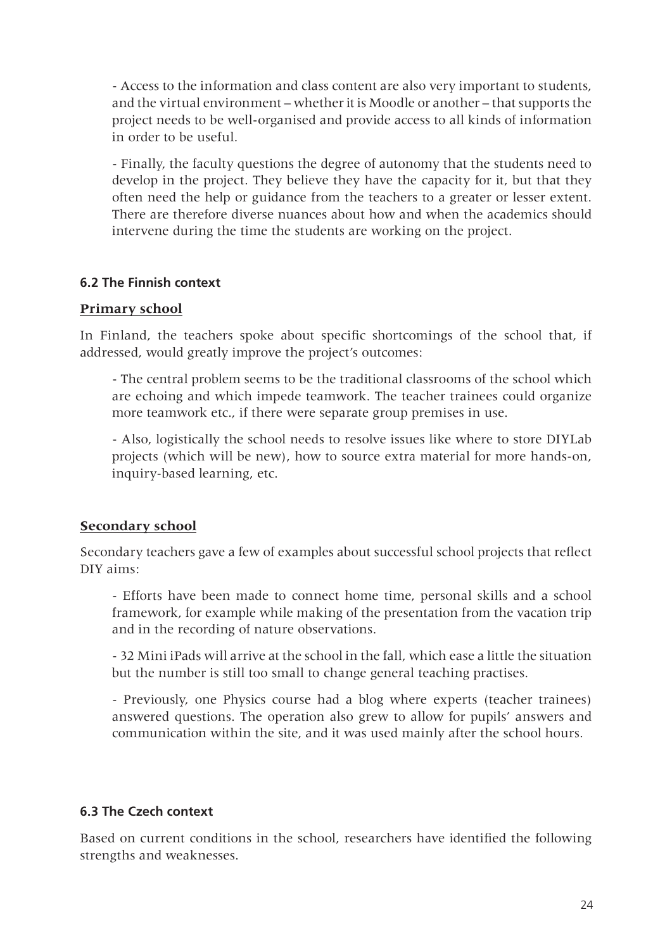- Access to the information and class content are also very important to students, and the virtual environment – whether it is Moodle or another – that supports the project needs to be well-organised and provide access to all kinds of information in order to be useful.

- Finally, the faculty questions the degree of autonomy that the students need to develop in the project. They believe they have the capacity for it, but that they often need the help or guidance from the teachers to a greater or lesser extent. There are therefore diverse nuances about how and when the academics should intervene during the time the students are working on the project.

#### **6.2 The Finnish context**

#### **Primary school**

In Finland, the teachers spoke about specific shortcomings of the school that, if addressed, would greatly improve the project's outcomes:

- The central problem seems to be the traditional classrooms of the school which are echoing and which impede teamwork. The teacher trainees could organize more teamwork etc., if there were separate group premises in use.

- Also, logistically the school needs to resolve issues like where to store DIYLab projects (which will be new), how to source extra material for more hands-on, inquiry-based learning, etc.

#### **Secondary school**

Secondary teachers gave a few of examples about successful school projects that reflect DIY aims:

- Efforts have been made to connect home time, personal skills and a school framework, for example while making of the presentation from the vacation trip and in the recording of nature observations.

- 32 Mini iPads will arrive at the school in the fall, which ease a little the situation but the number is still too small to change general teaching practises.

- Previously, one Physics course had a blog where experts (teacher trainees) answered questions. The operation also grew to allow for pupils' answers and communication within the site, and it was used mainly after the school hours.

#### **6.3 The Czech context**

Based on current conditions in the school, researchers have identified the following strengths and weaknesses.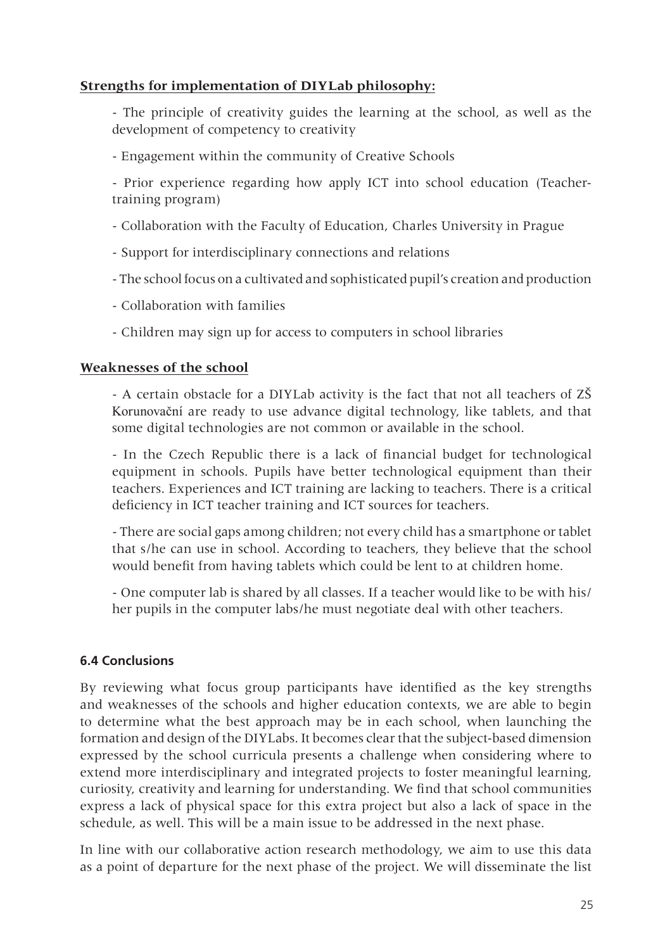#### **Strengths for implementation of DIYLab philosophy:**

- The principle of creativity guides the learning at the school, as well as the development of competency to creativity

- Engagement within the community of Creative Schools

- Prior experience regarding how apply ICT into school education (Teachertraining program)

- Collaboration with the Faculty of Education, Charles University in Prague
- Support for interdisciplinary connections and relations
- The school focus on a cultivated and sophisticated pupil's creation and production
- Collaboration with families
- Children may sign up for access to computers in school libraries

#### **Weaknesses of the school**

- A certain obstacle for a DIYLab activity is the fact that not all teachers of ZŠ Korunovační are ready to use advance digital technology, like tablets, and that some digital technologies are not common or available in the school.

- In the Czech Republic there is a lack of financial budget for technological equipment in schools. Pupils have better technological equipment than their teachers. Experiences and ICT training are lacking to teachers. There is a critical deficiency in ICT teacher training and ICT sources for teachers.

- There are social gaps among children; not every child has a smartphone or tablet that s/he can use in school. According to teachers, they believe that the school would benefit from having tablets which could be lent to at children home.

- One computer lab is shared by all classes. If a teacher would like to be with his/ her pupils in the computer labs/he must negotiate deal with other teachers.

#### **6.4 Conclusions**

By reviewing what focus group participants have identified as the key strengths and weaknesses of the schools and higher education contexts, we are able to begin to determine what the best approach may be in each school, when launching the formation and design of the DIYLabs. It becomes clear that the subject-based dimension expressed by the school curricula presents a challenge when considering where to extend more interdisciplinary and integrated projects to foster meaningful learning, curiosity, creativity and learning for understanding. We find that school communities express a lack of physical space for this extra project but also a lack of space in the schedule, as well. This will be a main issue to be addressed in the next phase.

In line with our collaborative action research methodology, we aim to use this data as a point of departure for the next phase of the project. We will disseminate the list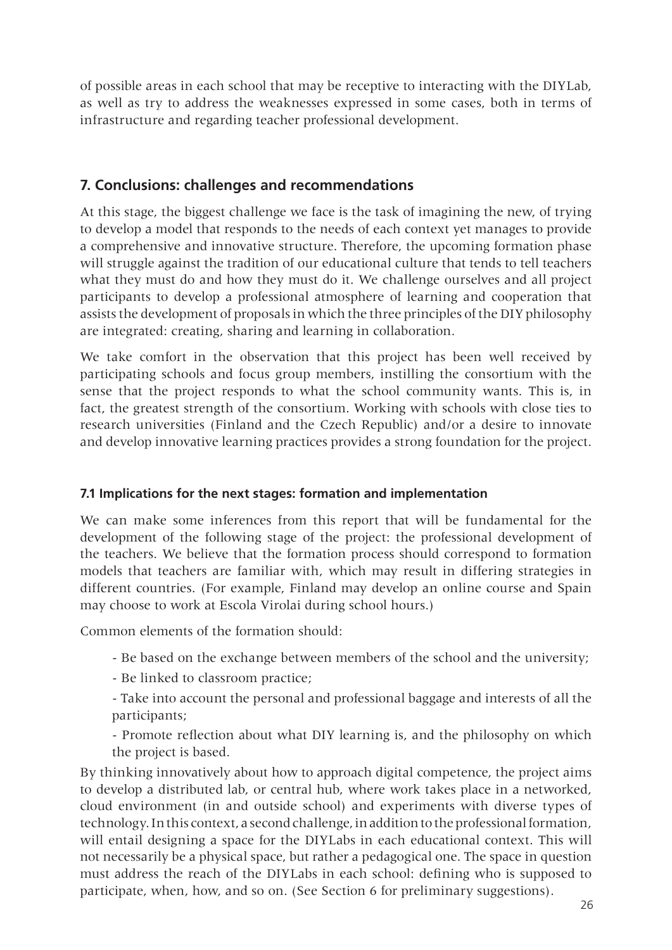of possible areas in each school that may be receptive to interacting with the DIYLab, as well as try to address the weaknesses expressed in some cases, both in terms of infrastructure and regarding teacher professional development.

# **7. Conclusions: challenges and recommendations**

At this stage, the biggest challenge we face is the task of imagining the new, of trying to develop a model that responds to the needs of each context yet manages to provide a comprehensive and innovative structure. Therefore, the upcoming formation phase will struggle against the tradition of our educational culture that tends to tell teachers what they must do and how they must do it. We challenge ourselves and all project participants to develop a professional atmosphere of learning and cooperation that assists the development of proposals in which the three principles of the DIY philosophy are integrated: creating, sharing and learning in collaboration.

We take comfort in the observation that this project has been well received by participating schools and focus group members, instilling the consortium with the sense that the project responds to what the school community wants. This is, in fact, the greatest strength of the consortium. Working with schools with close ties to research universities (Finland and the Czech Republic) and/or a desire to innovate and develop innovative learning practices provides a strong foundation for the project.

# **7.1 Implications for the next stages: formation and implementation**

We can make some inferences from this report that will be fundamental for the development of the following stage of the project: the professional development of the teachers. We believe that the formation process should correspond to formation models that teachers are familiar with, which may result in differing strategies in different countries. (For example, Finland may develop an online course and Spain may choose to work at Escola Virolai during school hours.)

Common elements of the formation should:

- Be based on the exchange between members of the school and the university;
- Be linked to classroom practice;
- Take into account the personal and professional baggage and interests of all the participants;

- Promote reflection about what DIY learning is, and the philosophy on which the project is based.

By thinking innovatively about how to approach digital competence, the project aims to develop a distributed lab, or central hub, where work takes place in a networked, cloud environment (in and outside school) and experiments with diverse types of technology. In this context, a second challenge, in addition to the professional formation, will entail designing a space for the DIYLabs in each educational context. This will not necessarily be a physical space, but rather a pedagogical one. The space in question must address the reach of the DIYLabs in each school: defining who is supposed to participate, when, how, and so on. (See Section 6 for preliminary suggestions).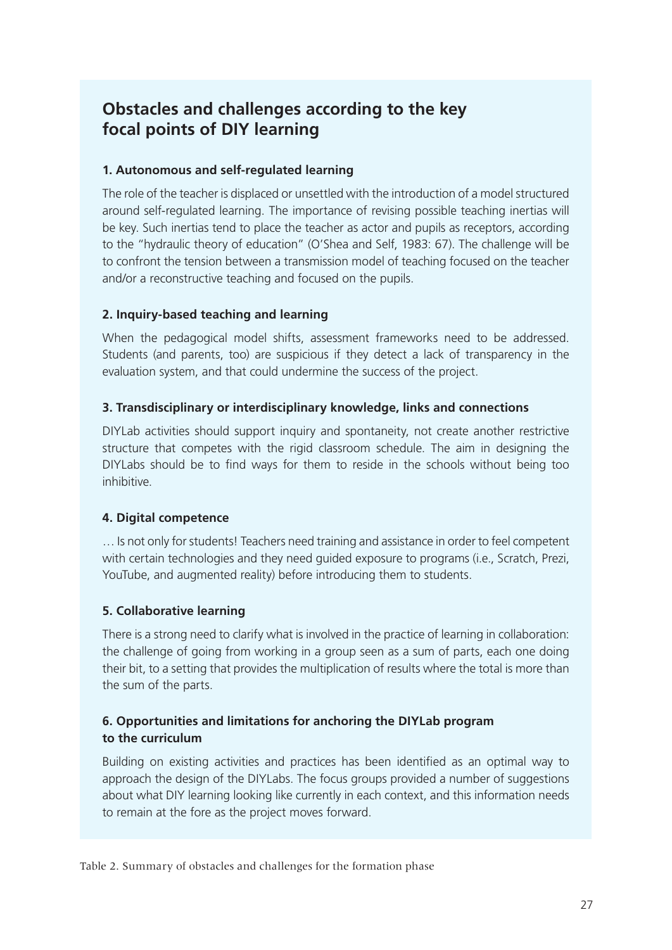# **Obstacles and challenges according to the key focal points of DIY learning**

#### **1. Autonomous and self-regulated learning**

The role of the teacher is displaced or unsettled with the introduction of a model structured around self-regulated learning. The importance of revising possible teaching inertias will be key. Such inertias tend to place the teacher as actor and pupils as receptors, according to the "hydraulic theory of education" (O'Shea and Self, 1983: 67). The challenge will be to confront the tension between a transmission model of teaching focused on the teacher and/or a reconstructive teaching and focused on the pupils.

#### **2. Inquiry-based teaching and learning**

When the pedagogical model shifts, assessment frameworks need to be addressed. Students (and parents, too) are suspicious if they detect a lack of transparency in the evaluation system, and that could undermine the success of the project.

#### **3. Transdisciplinary or interdisciplinary knowledge, links and connections**

DIYLab activities should support inquiry and spontaneity, not create another restrictive structure that competes with the rigid classroom schedule. The aim in designing the DIYLabs should be to find ways for them to reside in the schools without being too inhibitive.

#### **4. Digital competence**

… Is not only for students! Teachers need training and assistance in order to feel competent with certain technologies and they need guided exposure to programs (i.e., Scratch, Prezi, YouTube, and augmented reality) before introducing them to students.

#### **5. Collaborative learning**

There is a strong need to clarify what is involved in the practice of learning in collaboration: the challenge of going from working in a group seen as a sum of parts, each one doing their bit, to a setting that provides the multiplication of results where the total is more than the sum of the parts.

#### **6. Opportunities and limitations for anchoring the DIYLab program to the curriculum**

Building on existing activities and practices has been identified as an optimal way to approach the design of the DIYLabs. The focus groups provided a number of suggestions about what DIY learning looking like currently in each context, and this information needs to remain at the fore as the project moves forward.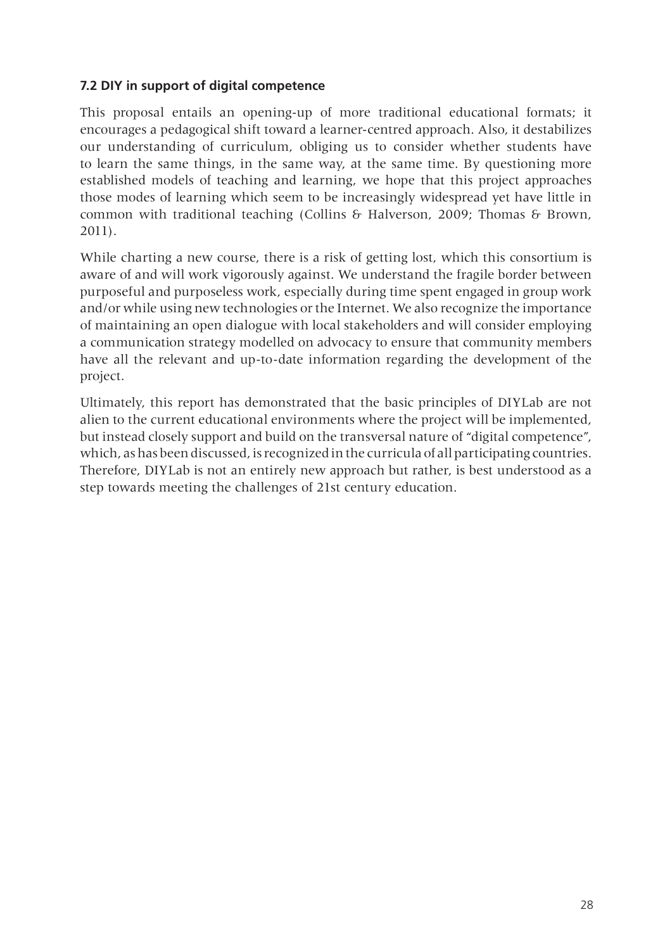#### **7.2 DIY in support of digital competence**

This proposal entails an opening-up of more traditional educational formats; it encourages a pedagogical shift toward a learner-centred approach. Also, it destabilizes our understanding of curriculum, obliging us to consider whether students have to learn the same things, in the same way, at the same time. By questioning more established models of teaching and learning, we hope that this project approaches those modes of learning which seem to be increasingly widespread yet have little in common with traditional teaching (Collins & Halverson, 2009; Thomas & Brown, 2011).

While charting a new course, there is a risk of getting lost, which this consortium is aware of and will work vigorously against. We understand the fragile border between purposeful and purposeless work, especially during time spent engaged in group work and/or while using new technologies or the Internet. We also recognize the importance of maintaining an open dialogue with local stakeholders and will consider employing a communication strategy modelled on advocacy to ensure that community members have all the relevant and up-to-date information regarding the development of the project.

Ultimately, this report has demonstrated that the basic principles of DIYLab are not alien to the current educational environments where the project will be implemented, but instead closely support and build on the transversal nature of "digital competence", which, as has been discussed, is recognized in the curricula of all participating countries. Therefore, DIYLab is not an entirely new approach but rather, is best understood as a step towards meeting the challenges of 21st century education.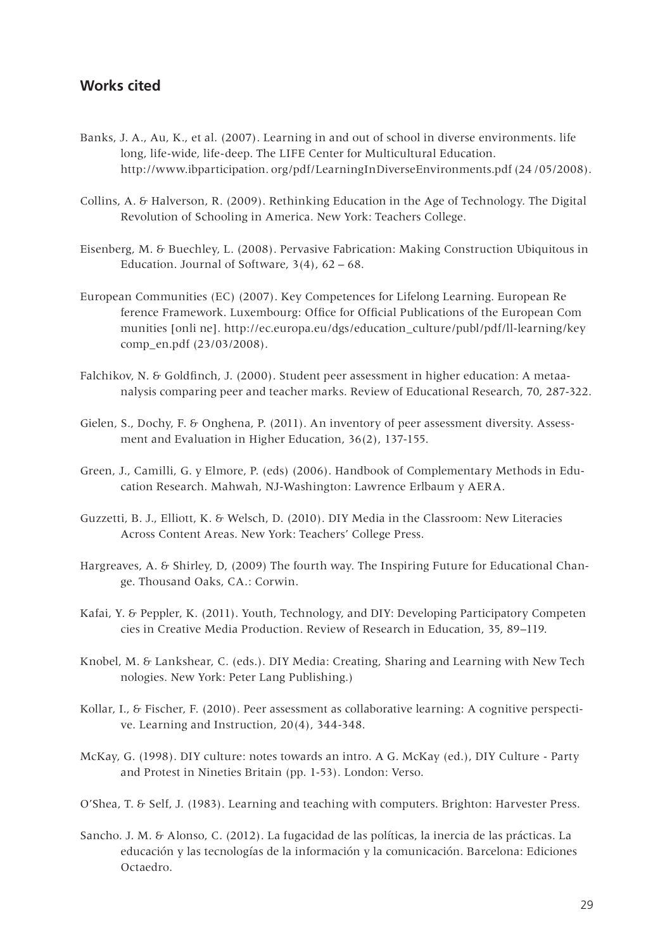#### **Works cited**

- Banks, J. A., Au, K., et al. (2007). Learning in and out of school in diverse environments. life long, life-wide, life-deep. The LIFE Center for Multicultural Education. http://www.ibparticipation. org/pdf/LearningInDiverseEnvironments.pdf (24 /05/2008).
- Collins, A. & Halverson, R. (2009). Rethinking Education in the Age of Technology. The Digital Revolution of Schooling in America. New York: Teachers College.
- Eisenberg, M. & Buechley, L. (2008). Pervasive Fabrication: Making Construction Ubiquitous in Education. Journal of Software,  $3(4)$ ,  $62 - 68$ .
- European Communities (EC) (2007). Key Competences for Lifelong Learning. European Re ference Framework. Luxembourg: Office for Official Publications of the European Com munities [onli ne]. http://ec.europa.eu/dgs/education\_culture/publ/pdf/ll-learning/key comp\_en.pdf (23/03/2008).
- Falchikov, N. & Goldfinch, J. (2000). Student peer assessment in higher education: A metaanalysis comparing peer and teacher marks. Review of Educational Research, 70, 287-322.
- Gielen, S., Dochy, F. & Onghena, P. (2011). An inventory of peer assessment diversity. Assessment and Evaluation in Higher Education, 36(2), 137-155.
- Green, J., Camilli, G. y Elmore, P. (eds) (2006). Handbook of Complementary Methods in Education Research. Mahwah, NJ-Washington: Lawrence Erlbaum y AERA.
- Guzzetti, B. J., Elliott, K. & Welsch, D. (2010). DIY Media in the Classroom: New Literacies Across Content Areas. New York: Teachers' College Press.
- Hargreaves, A. & Shirley, D, (2009) The fourth way. The Inspiring Future for Educational Change. Thousand Oaks, CA.: Corwin.
- Kafai, Y. & Peppler, K. (2011). Youth, Technology, and DIY: Developing Participatory Competen cies in Creative Media Production. Review of Research in Education, 35, 89–119.
- Knobel, M. & Lankshear, C. (eds.). DIY Media: Creating, Sharing and Learning with New Tech nologies. New York: Peter Lang Publishing.)
- Kollar, I., & Fischer, F. (2010). Peer assessment as collaborative learning: A cognitive perspective. Learning and Instruction, 20(4), 344-348.
- McKay, G. (1998). DIY culture: notes towards an intro. A G. McKay (ed.), DIY Culture Party and Protest in Nineties Britain (pp. 1-53). London: Verso.
- O'Shea, T. & Self, J. (1983). Learning and teaching with computers. Brighton: Harvester Press.
- Sancho. J. M. & Alonso, C. (2012). La fugacidad de las políticas, la inercia de las prácticas. La educación y las tecnologías de la información y la comunicación. Barcelona: Ediciones Octaedro.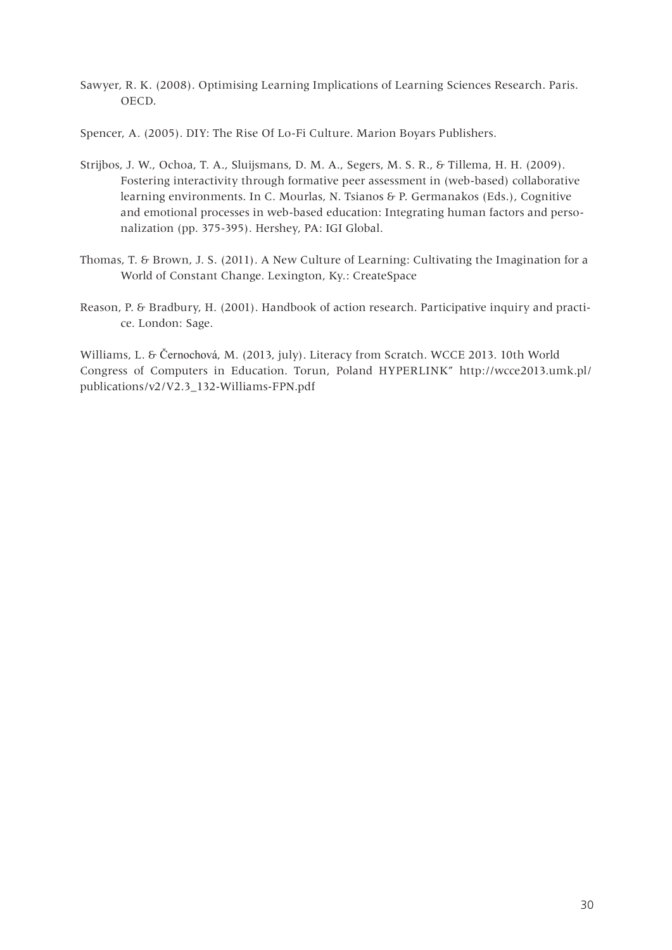Sawyer, R. K. (2008). Optimising Learning Implications of Learning Sciences Research. Paris. OECD.

Spencer, A. (2005). DIY: The Rise Of Lo-Fi Culture. Marion Boyars Publishers.

- Strijbos, J. W., Ochoa, T. A., Sluijsmans, D. M. A., Segers, M. S. R., & Tillema, H. H. (2009). Fostering interactivity through formative peer assessment in (web-based) collaborative learning environments. In C. Mourlas, N. Tsianos & P. Germanakos (Eds.), Cognitive and emotional processes in web-based education: Integrating human factors and personalization (pp. 375-395). Hershey, PA: IGI Global.
- Thomas, T. & Brown, J. S. (2011). A New Culture of Learning: Cultivating the Imagination for a World of Constant Change. Lexington, Ky.: CreateSpace
- Reason, P. & Bradbury, H. (2001). Handbook of action research. Participative inquiry and practice. London: Sage.

Williams, L. & Černochová, M. (2013, july). Literacy from Scratch. WCCE 2013. 10th World Congress of Computers in Education. Torun, Poland HYPERLINK" http://wcce2013.umk.pl/ publications/v2/V2.3\_132-Williams-FPN.pdf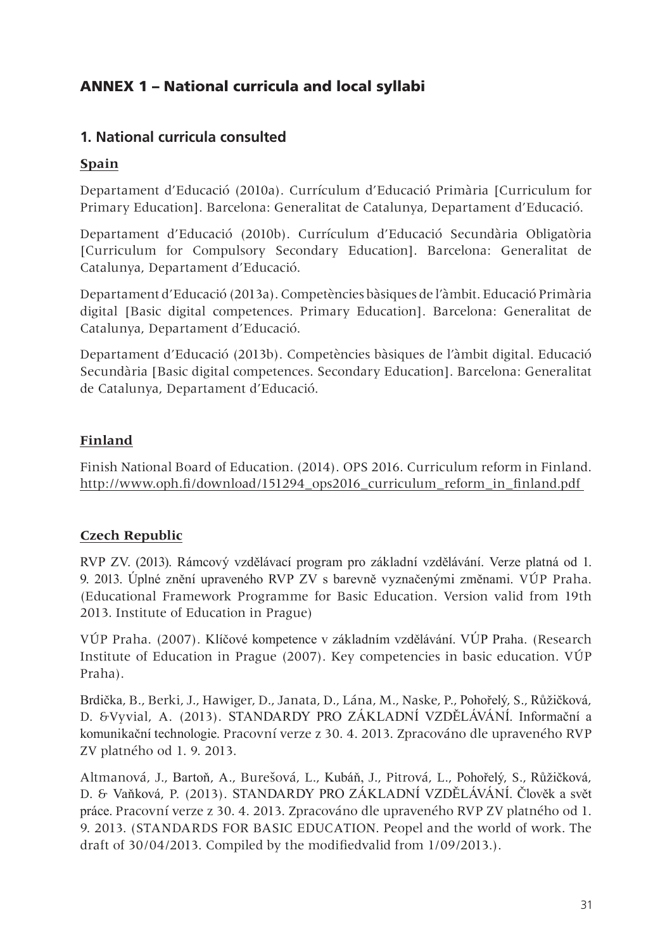# ANNEX 1 – National curricula and local syllabi

# **1. National curricula consulted**

#### **Spain**

Departament d'Educació (2010a). Currículum d'Educació Primària [Curriculum for Primary Education]. Barcelona: Generalitat de Catalunya, Departament d'Educació.

Departament d'Educació (2010b). Currículum d'Educació Secundària Obligatòria [Curriculum for Compulsory Secondary Education]. Barcelona: Generalitat de Catalunya, Departament d'Educació.

Departament d'Educació (2013a). Competències bàsiques de l'àmbit. Educació Primària digital [Basic digital competences. Primary Education]. Barcelona: Generalitat de Catalunya, Departament d'Educació.

Departament d'Educació (2013b). Competències bàsiques de l'àmbit digital. Educació Secundària [Basic digital competences. Secondary Education]. Barcelona: Generalitat de Catalunya, Departament d'Educació.

# **Finland**

Finish National Board of Education. (2014). OPS 2016. Curriculum reform in Finland. http://www.oph.fi/download/151294\_ops2016\_curriculum\_reform\_in\_finland.pdf

#### **Czech Republic**

RVP ZV. (2013). Rámcový vzdělávací program pro základní vzdělávání. Verze platná od 1. 9. 2013. Úplné znění upraveného RVP ZV s barevně vyznačenými změnami. VÚP Praha. (Educational Framework Programme for Basic Education. Version valid from 19th 2013. Institute of Education in Prague)

VÚP Praha. (2007). Klíčové kompetence v základním vzdělávání. VÚP Praha. (Research Institute of Education in Prague (2007). Key competencies in basic education. VÚP Praha).

Brdička, B., Berki, J., Hawiger, D., Janata, D., Lána, M., Naske, P., Pohořelý, S., Růžičková, D. &Vyvial, A. (2013). STANDARDY PRO ZÁKLADNÍ VZDĚLÁVÁNÍ. Informační a komunikační technologie. Pracovní verze z 30. 4. 2013. Zpracováno dle upraveného RVP ZV platného od 1. 9. 2013.

Altmanová, J., Bartoň, A., Burešová, L., Kubáň, J., Pitrová, L., Pohořelý, S., Růžičková, D. & Vaňková, P. (2013). STANDARDY PRO ZÁKLADNÍ VZDĚLÁVÁNÍ. Člověk a svět práce. Pracovní verze z 30. 4. 2013. Zpracováno dle upraveného RVP ZV platného od 1. 9. 2013. (STANDARDS FOR BASIC EDUCATION. Peopel and the world of work. The draft of 30/04/2013. Compiled by the modifiedvalid from 1/09/2013.).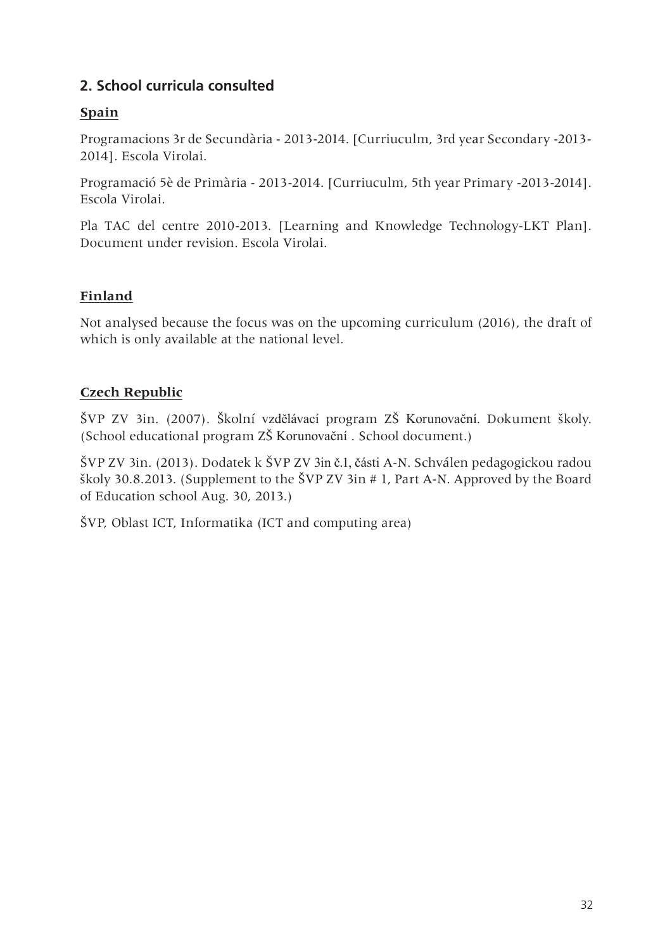# **2. School curricula consulted**

## **Spain**

Programacions 3r de Secundària - 2013-2014. [Curriuculm, 3rd year Secondary -2013- 2014]. Escola Virolai.

Programació 5è de Primària - 2013-2014. [Curriuculm, 5th year Primary -2013-2014]. Escola Virolai.

Pla TAC del centre 2010-2013. [Learning and Knowledge Technology-LKT Plan]. Document under revision. Escola Virolai.

# **Finland**

Not analysed because the focus was on the upcoming curriculum (2016), the draft of which is only available at the national level.

# **Czech Republic**

ŠVP ZV 3in. (2007). Školní vzdělávací program ZŠ Korunovační. Dokument školy. (School educational program ZŠ Korunovační . School document.)

ŠVP ZV 3in. (2013). Dodatek k ŠVP ZV 3in č.1, části A-N. Schválen pedagogickou radou školy 30.8.2013. (Supplement to the ŠVP ZV 3in # 1, Part A-N. Approved by the Board of Education school Aug. 30, 2013.)

ŠVP, Oblast ICT, Informatika (ICT and computing area)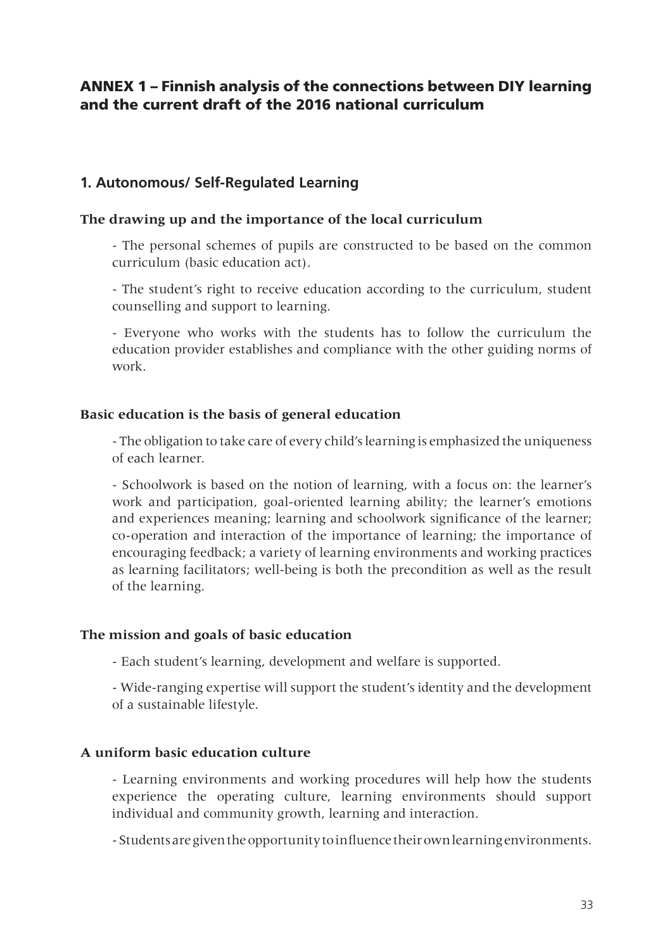# ANNEX 1 – Finnish analysis of the connections between DIY learning and the current draft of the 2016 national curriculum

# **1. Autonomous/ Self-Regulated Learning**

#### **The drawing up and the importance of the local curriculum**

- The personal schemes of pupils are constructed to be based on the common curriculum (basic education act).

- The student's right to receive education according to the curriculum, student counselling and support to learning.

- Everyone who works with the students has to follow the curriculum the education provider establishes and compliance with the other guiding norms of work.

#### **Basic education is the basis of general education**

- The obligation to take care of every child's learning is emphasized the uniqueness of each learner.

- Schoolwork is based on the notion of learning, with a focus on: the learner's work and participation, goal-oriented learning ability; the learner's emotions and experiences meaning; learning and schoolwork significance of the learner; co-operation and interaction of the importance of learning; the importance of encouraging feedback; a variety of learning environments and working practices as learning facilitators; well-being is both the precondition as well as the result of the learning.

#### **The mission and goals of basic education**

- Each student's learning, development and welfare is supported.

- Wide-ranging expertise will support the student's identity and the development of a sustainable lifestyle.

#### **A uniform basic education culture**

- Learning environments and working procedures will help how the students experience the operating culture, learning environments should support individual and community growth, learning and interaction.

- Students are given the opportunity to influence their own learning environments.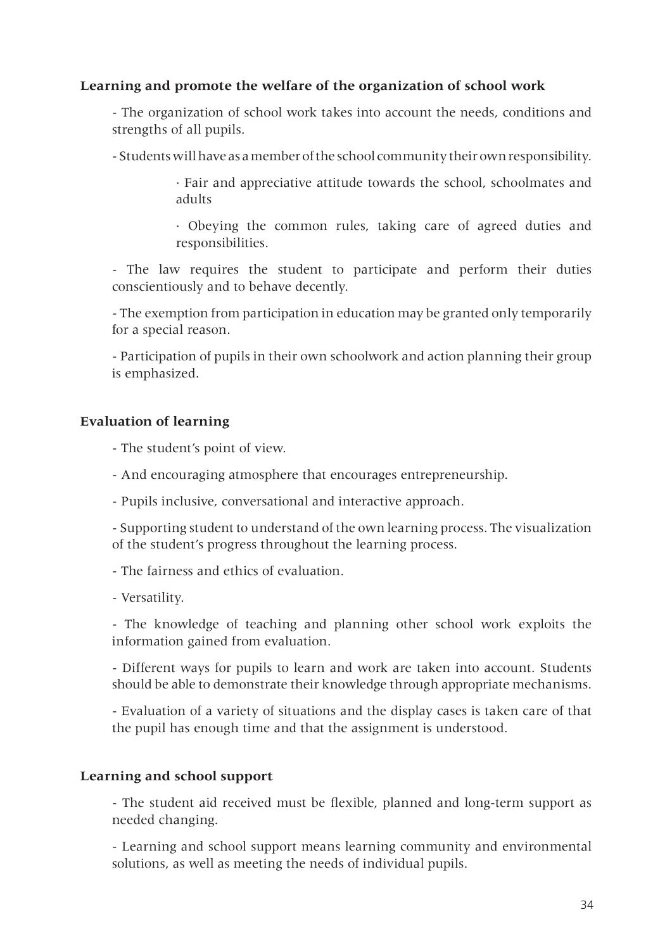#### **Learning and promote the welfare of the organization of school work**

- The organization of school work takes into account the needs, conditions and strengths of all pupils.

- Students will have as a member of the school community their own responsibility.

· Fair and appreciative attitude towards the school, schoolmates and adults

· Obeying the common rules, taking care of agreed duties and responsibilities.

- The law requires the student to participate and perform their duties conscientiously and to behave decently.

- The exemption from participation in education may be granted only temporarily for a special reason.

- Participation of pupils in their own schoolwork and action planning their group is emphasized.

#### **Evaluation of learning**

- The student's point of view.
- And encouraging atmosphere that encourages entrepreneurship.
- Pupils inclusive, conversational and interactive approach.

- Supporting student to understand of the own learning process. The visualization of the student's progress throughout the learning process.

- The fairness and ethics of evaluation.

- Versatility.

- The knowledge of teaching and planning other school work exploits the information gained from evaluation.

- Different ways for pupils to learn and work are taken into account. Students should be able to demonstrate their knowledge through appropriate mechanisms.

- Evaluation of a variety of situations and the display cases is taken care of that the pupil has enough time and that the assignment is understood.

#### **Learning and school support**

- The student aid received must be flexible, planned and long-term support as needed changing.

- Learning and school support means learning community and environmental solutions, as well as meeting the needs of individual pupils.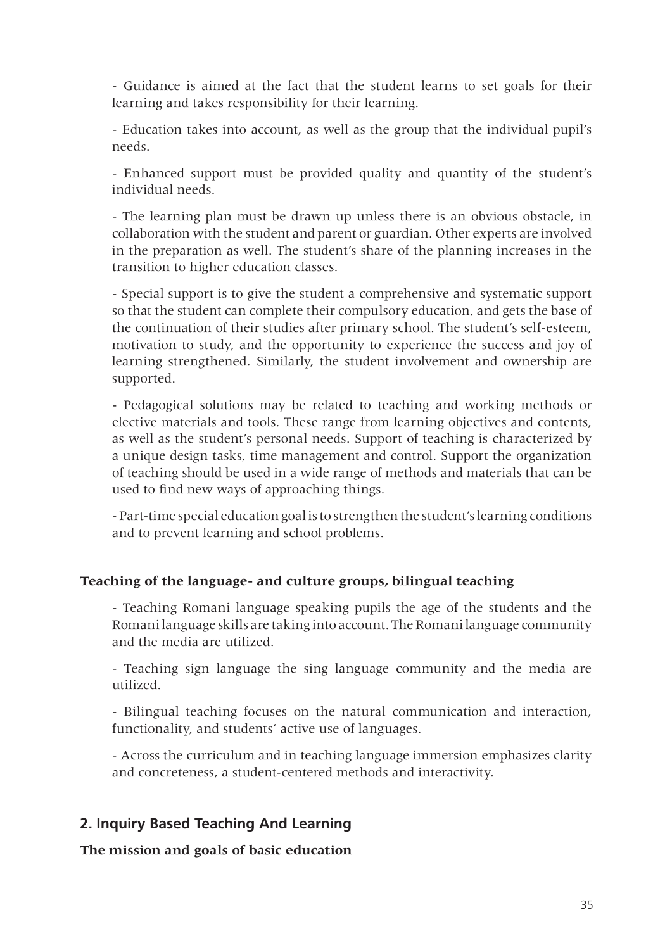- Guidance is aimed at the fact that the student learns to set goals for their learning and takes responsibility for their learning.

- Education takes into account, as well as the group that the individual pupil's needs.

- Enhanced support must be provided quality and quantity of the student's individual needs.

- The learning plan must be drawn up unless there is an obvious obstacle, in collaboration with the student and parent or guardian. Other experts are involved in the preparation as well. The student's share of the planning increases in the transition to higher education classes.

- Special support is to give the student a comprehensive and systematic support so that the student can complete their compulsory education, and gets the base of the continuation of their studies after primary school. The student's self-esteem, motivation to study, and the opportunity to experience the success and joy of learning strengthened. Similarly, the student involvement and ownership are supported.

- Pedagogical solutions may be related to teaching and working methods or elective materials and tools. These range from learning objectives and contents, as well as the student's personal needs. Support of teaching is characterized by a unique design tasks, time management and control. Support the organization of teaching should be used in a wide range of methods and materials that can be used to find new ways of approaching things.

- Part-time special education goal is to strengthen the student's learning conditions and to prevent learning and school problems.

#### **Teaching of the language- and culture groups, bilingual teaching**

- Teaching Romani language speaking pupils the age of the students and the Romani language skills are taking into account. The Romani language community and the media are utilized.

- Teaching sign language the sing language community and the media are utilized.

- Bilingual teaching focuses on the natural communication and interaction, functionality, and students' active use of languages.

- Across the curriculum and in teaching language immersion emphasizes clarity and concreteness, a student-centered methods and interactivity.

# **2. Inquiry Based Teaching And Learning**

**The mission and goals of basic education**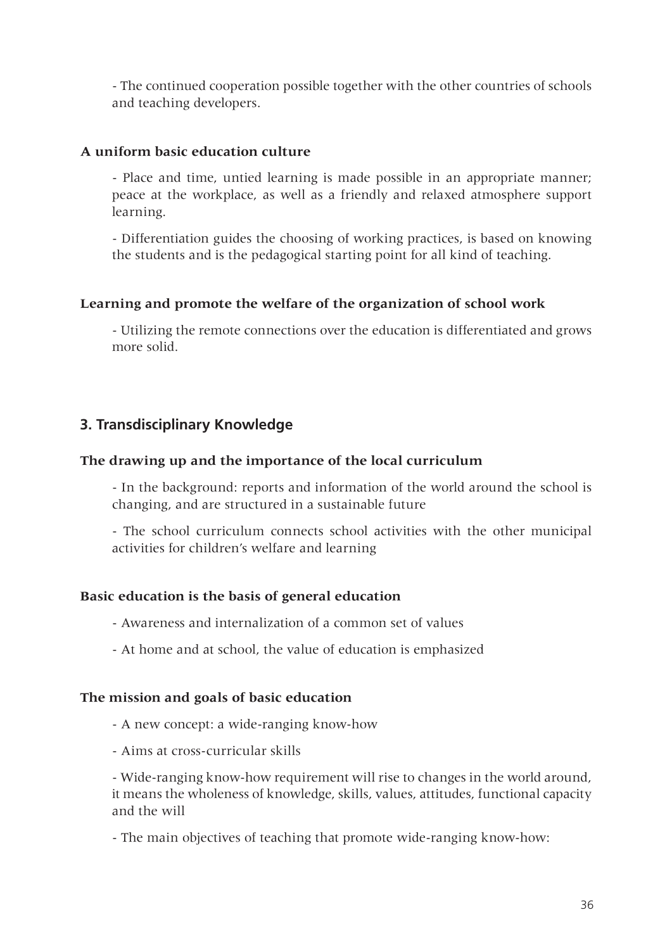- The continued cooperation possible together with the other countries of schools and teaching developers.

#### **A uniform basic education culture**

- Place and time, untied learning is made possible in an appropriate manner; peace at the workplace, as well as a friendly and relaxed atmosphere support learning.

- Differentiation guides the choosing of working practices, is based on knowing the students and is the pedagogical starting point for all kind of teaching.

#### **Learning and promote the welfare of the organization of school work**

- Utilizing the remote connections over the education is differentiated and grows more solid.

## **3. Transdisciplinary Knowledge**

#### **The drawing up and the importance of the local curriculum**

- In the background: reports and information of the world around the school is changing, and are structured in a sustainable future

- The school curriculum connects school activities with the other municipal activities for children's welfare and learning

#### **Basic education is the basis of general education**

- Awareness and internalization of a common set of values

- At home and at school, the value of education is emphasized

#### **The mission and goals of basic education**

- A new concept: a wide-ranging know-how
- Aims at cross-curricular skills

- Wide-ranging know-how requirement will rise to changes in the world around, it means the wholeness of knowledge, skills, values, attitudes, functional capacity and the will

- The main objectives of teaching that promote wide-ranging know-how: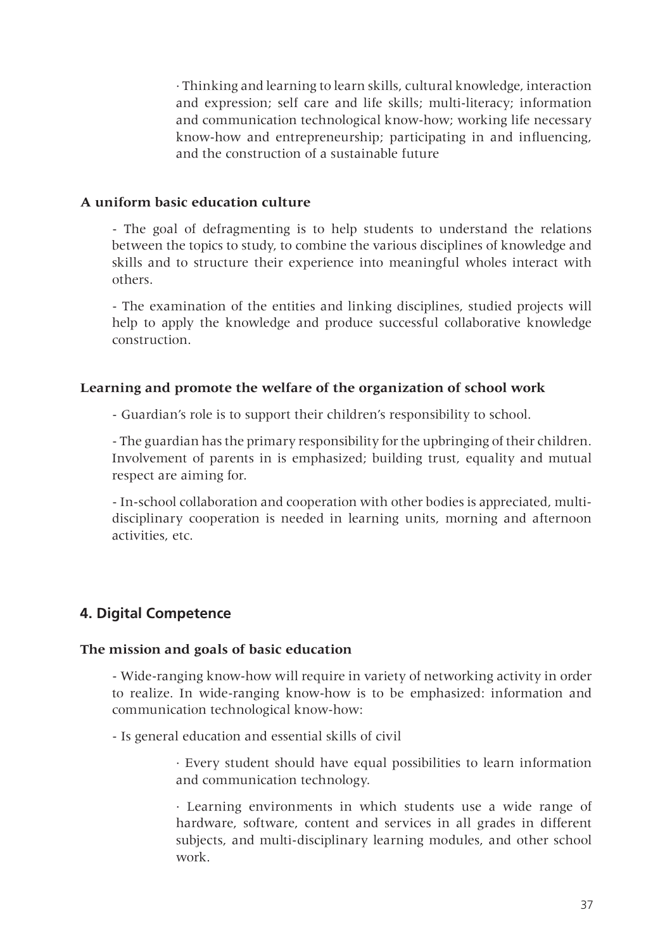· Thinking and learning to learn skills, cultural knowledge, interaction and expression; self care and life skills; multi-literacy; information and communication technological know-how; working life necessary know-how and entrepreneurship; participating in and influencing, and the construction of a sustainable future

#### **A uniform basic education culture**

- The goal of defragmenting is to help students to understand the relations between the topics to study, to combine the various disciplines of knowledge and skills and to structure their experience into meaningful wholes interact with others.

- The examination of the entities and linking disciplines, studied projects will help to apply the knowledge and produce successful collaborative knowledge construction.

#### **Learning and promote the welfare of the organization of school work**

- Guardian's role is to support their children's responsibility to school.

- The guardian has the primary responsibility for the upbringing of their children. Involvement of parents in is emphasized; building trust, equality and mutual respect are aiming for.

- In-school collaboration and cooperation with other bodies is appreciated, multidisciplinary cooperation is needed in learning units, morning and afternoon activities, etc.

# **4. Digital Competence**

#### **The mission and goals of basic education**

- Wide-ranging know-how will require in variety of networking activity in order to realize. In wide-ranging know-how is to be emphasized: information and communication technological know-how:

- Is general education and essential skills of civil

· Every student should have equal possibilities to learn information and communication technology.

· Learning environments in which students use a wide range of hardware, software, content and services in all grades in different subjects, and multi-disciplinary learning modules, and other school work.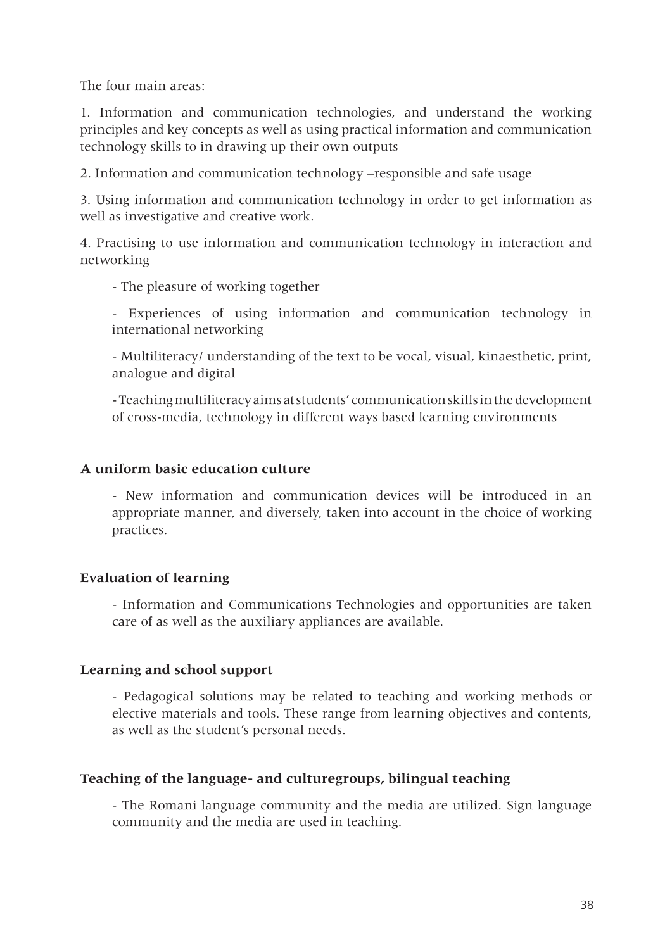The four main areas:

1. Information and communication technologies, and understand the working principles and key concepts as well as using practical information and communication technology skills to in drawing up their own outputs

2. Information and communication technology –responsible and safe usage

3. Using information and communication technology in order to get information as well as investigative and creative work.

4. Practising to use information and communication technology in interaction and networking

- The pleasure of working together

- Experiences of using information and communication technology in international networking

- Multiliteracy/ understanding of the text to be vocal, visual, kinaesthetic, print, analogue and digital

- Teaching multiliteracy aims at students' communication skills in the development of cross-media, technology in different ways based learning environments

#### **A uniform basic education culture**

- New information and communication devices will be introduced in an appropriate manner, and diversely, taken into account in the choice of working practices.

#### **Evaluation of learning**

- Information and Communications Technologies and opportunities are taken care of as well as the auxiliary appliances are available.

#### **Learning and school support**

- Pedagogical solutions may be related to teaching and working methods or elective materials and tools. These range from learning objectives and contents, as well as the student's personal needs.

#### **Teaching of the language- and culturegroups, bilingual teaching**

- The Romani language community and the media are utilized. Sign language community and the media are used in teaching.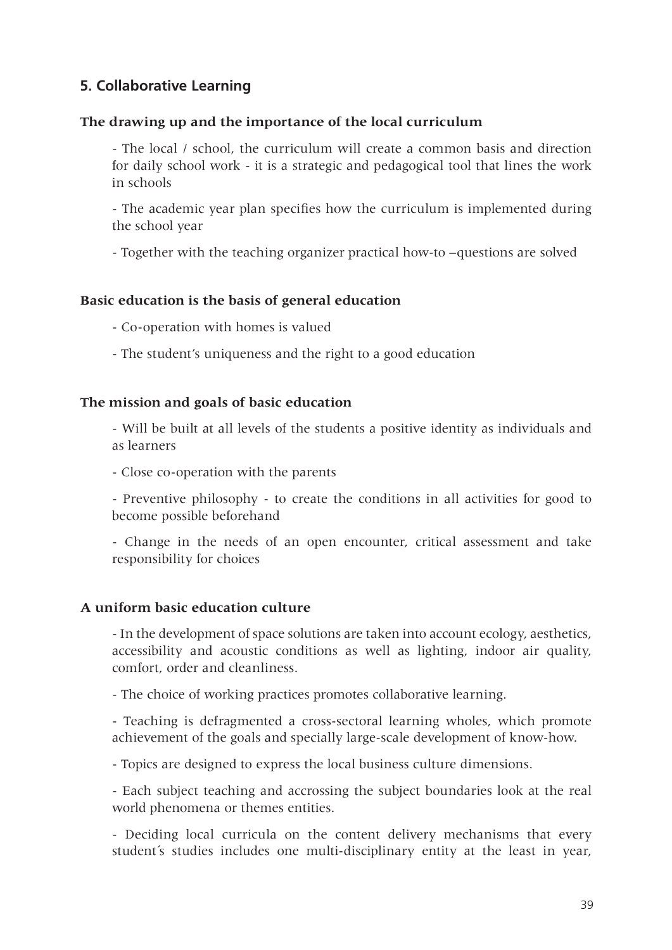# **5. Collaborative Learning**

#### **The drawing up and the importance of the local curriculum**

- The local / school, the curriculum will create a common basis and direction for daily school work - it is a strategic and pedagogical tool that lines the work in schools

- The academic year plan specifies how the curriculum is implemented during the school year

- Together with the teaching organizer practical how-to –questions are solved

## **Basic education is the basis of general education**

- Co-operation with homes is valued
- The student's uniqueness and the right to a good education

#### **The mission and goals of basic education**

- Will be built at all levels of the students a positive identity as individuals and as learners

- Close co-operation with the parents

- Preventive philosophy - to create the conditions in all activities for good to become possible beforehand

- Change in the needs of an open encounter, critical assessment and take responsibility for choices

#### **A uniform basic education culture**

- In the development of space solutions are taken into account ecology, aesthetics, accessibility and acoustic conditions as well as lighting, indoor air quality, comfort, order and cleanliness.

- The choice of working practices promotes collaborative learning.

- Teaching is defragmented a cross-sectoral learning wholes, which promote achievement of the goals and specially large-scale development of know-how.

- Topics are designed to express the local business culture dimensions.

- Each subject teaching and accrossing the subject boundaries look at the real world phenomena or themes entities.

- Deciding local curricula on the content delivery mechanisms that every student´s studies includes one multi-disciplinary entity at the least in year,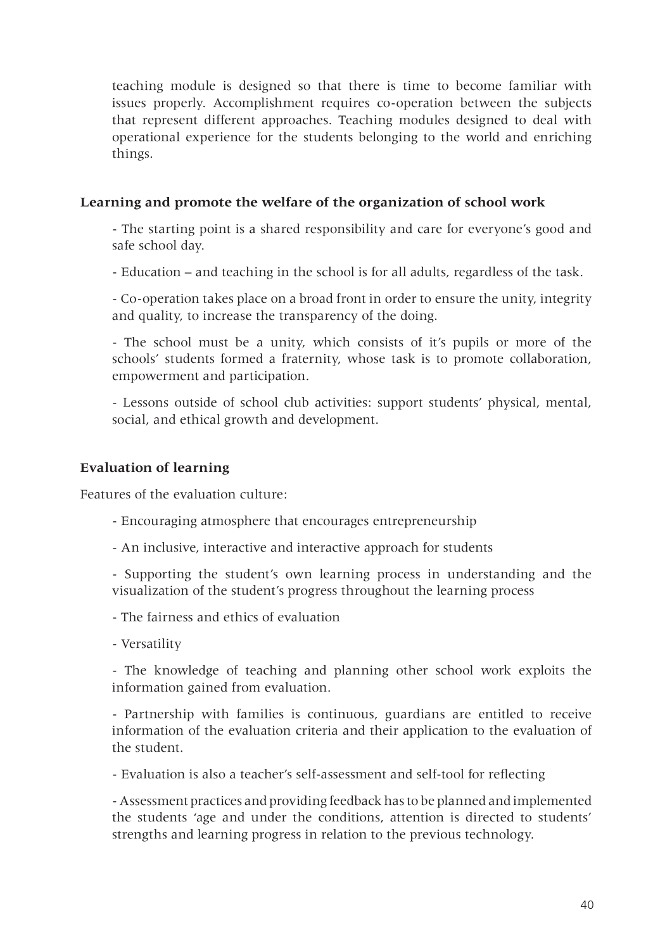teaching module is designed so that there is time to become familiar with issues properly. Accomplishment requires co-operation between the subjects that represent different approaches. Teaching modules designed to deal with operational experience for the students belonging to the world and enriching things.

## **Learning and promote the welfare of the organization of school work**

- The starting point is a shared responsibility and care for everyone's good and safe school day.

- Education – and teaching in the school is for all adults, regardless of the task.

- Co-operation takes place on a broad front in order to ensure the unity, integrity and quality, to increase the transparency of the doing.

- The school must be a unity, which consists of it's pupils or more of the schools' students formed a fraternity, whose task is to promote collaboration, empowerment and participation.

- Lessons outside of school club activities: support students' physical, mental, social, and ethical growth and development.

## **Evaluation of learning**

Features of the evaluation culture:

- Encouraging atmosphere that encourages entrepreneurship
- An inclusive, interactive and interactive approach for students

- Supporting the student's own learning process in understanding and the visualization of the student's progress throughout the learning process

- The fairness and ethics of evaluation
- Versatility

- The knowledge of teaching and planning other school work exploits the information gained from evaluation.

- Partnership with families is continuous, guardians are entitled to receive information of the evaluation criteria and their application to the evaluation of the student.

- Evaluation is also a teacher's self-assessment and self-tool for reflecting

- Assessment practices and providing feedback has to be planned and implemented the students 'age and under the conditions, attention is directed to students' strengths and learning progress in relation to the previous technology.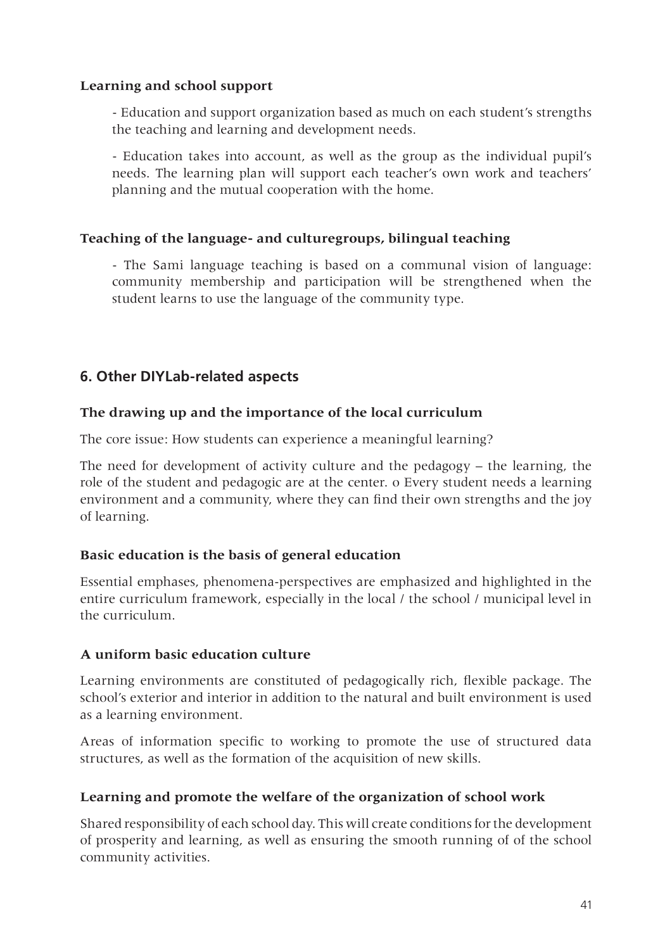#### **Learning and school support**

- Education and support organization based as much on each student's strengths the teaching and learning and development needs.

- Education takes into account, as well as the group as the individual pupil's needs. The learning plan will support each teacher's own work and teachers' planning and the mutual cooperation with the home.

#### **Teaching of the language- and culturegroups, bilingual teaching**

- The Sami language teaching is based on a communal vision of language: community membership and participation will be strengthened when the student learns to use the language of the community type.

# **6. Other DIYLab-related aspects**

#### **The drawing up and the importance of the local curriculum**

The core issue: How students can experience a meaningful learning?

The need for development of activity culture and the pedagogy – the learning, the role of the student and pedagogic are at the center. o Every student needs a learning environment and a community, where they can find their own strengths and the joy of learning.

#### **Basic education is the basis of general education**

Essential emphases, phenomena-perspectives are emphasized and highlighted in the entire curriculum framework, especially in the local / the school / municipal level in the curriculum.

#### **A uniform basic education culture**

Learning environments are constituted of pedagogically rich, flexible package. The school's exterior and interior in addition to the natural and built environment is used as a learning environment.

Areas of information specific to working to promote the use of structured data structures, as well as the formation of the acquisition of new skills.

#### **Learning and promote the welfare of the organization of school work**

Shared responsibility of each school day. This will create conditions for the development of prosperity and learning, as well as ensuring the smooth running of of the school community activities.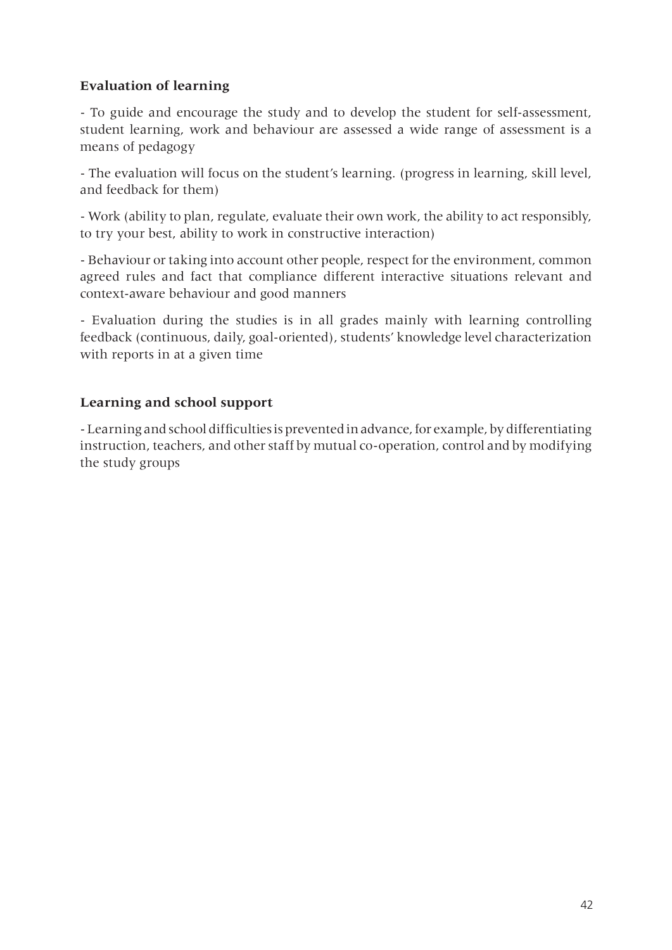#### **Evaluation of learning**

- To guide and encourage the study and to develop the student for self-assessment, student learning, work and behaviour are assessed a wide range of assessment is a means of pedagogy

- The evaluation will focus on the student's learning. (progress in learning, skill level, and feedback for them)

- Work (ability to plan, regulate, evaluate their own work, the ability to act responsibly, to try your best, ability to work in constructive interaction)

- Behaviour or taking into account other people, respect for the environment, common agreed rules and fact that compliance different interactive situations relevant and context-aware behaviour and good manners

- Evaluation during the studies is in all grades mainly with learning controlling feedback (continuous, daily, goal-oriented), students' knowledge level characterization with reports in at a given time

## **Learning and school support**

- Learning and school difficulties is prevented in advance, for example, by differentiating instruction, teachers, and other staff by mutual co-operation, control and by modifying the study groups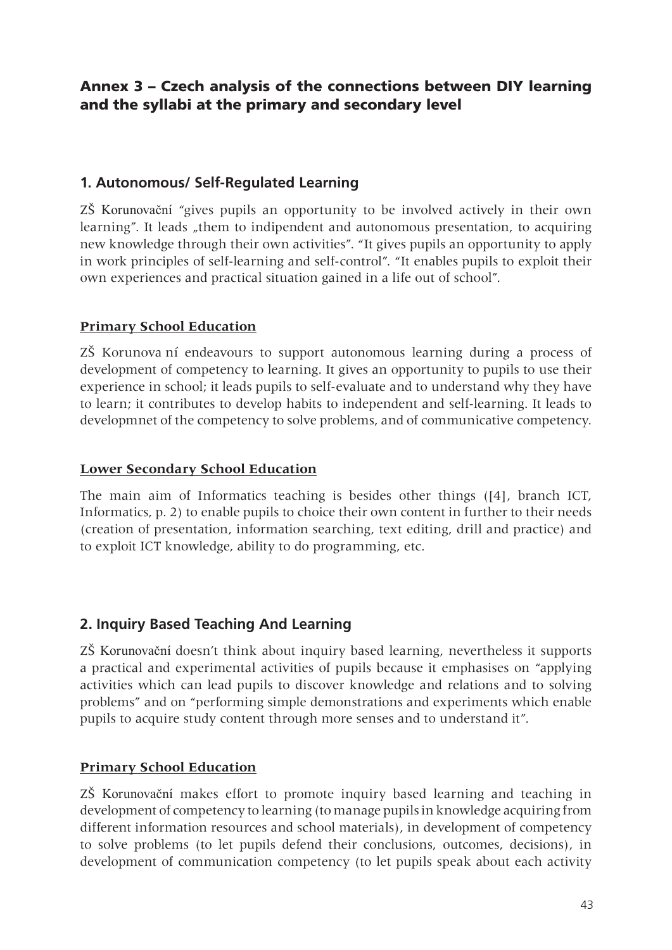# Annex 3 – Czech analysis of the connections between DIY learning and the syllabi at the primary and secondary level

# **1. Autonomous/ Self-Regulated Learning**

ZŠ Korunovační "gives pupils an opportunity to be involved actively in their own learning". It leads "them to indipendent and autonomous presentation, to acquiring new knowledge through their own activities". "It gives pupils an opportunity to apply in work principles of self-learning and self-control". "It enables pupils to exploit their own experiences and practical situation gained in a life out of school".

## **Primary School Education**

ZŠ Korunova ní endeavours to support autonomous learning during a process of development of competency to learning. It gives an opportunity to pupils to use their experience in school; it leads pupils to self-evaluate and to understand why they have to learn; it contributes to develop habits to independent and self-learning. It leads to developmnet of the competency to solve problems, and of communicative competency.

#### **Lower Secondary School Education**

The main aim of Informatics teaching is besides other things ([4], branch ICT, Informatics, p. 2) to enable pupils to choice their own content in further to their needs (creation of presentation, information searching, text editing, drill and practice) and to exploit ICT knowledge, ability to do programming, etc.

# **2. Inquiry Based Teaching And Learning**

ZŠ Korunovační doesn't think about inquiry based learning, nevertheless it supports a practical and experimental activities of pupils because it emphasises on "applying activities which can lead pupils to discover knowledge and relations and to solving problems" and on "performing simple demonstrations and experiments which enable pupils to acquire study content through more senses and to understand it".

# **Primary School Education**

ZŠ Korunovační makes effort to promote inquiry based learning and teaching in development of competency to learning (to manage pupils in knowledge acquiring from different information resources and school materials), in development of competency to solve problems (to let pupils defend their conclusions, outcomes, decisions), in development of communication competency (to let pupils speak about each activity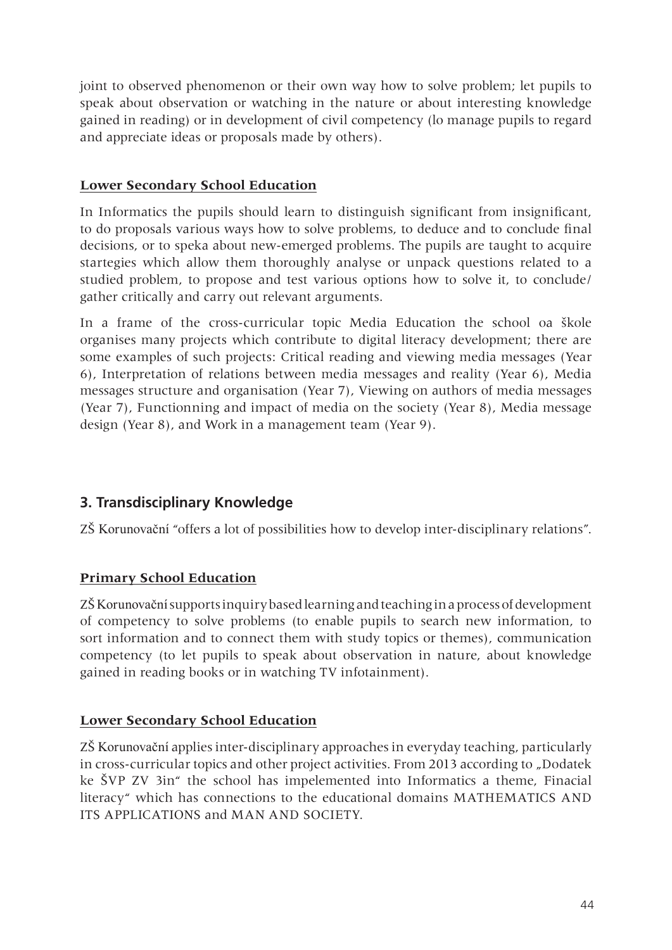joint to observed phenomenon or their own way how to solve problem; let pupils to speak about observation or watching in the nature or about interesting knowledge gained in reading) or in development of civil competency (lo manage pupils to regard and appreciate ideas or proposals made by others).

## **Lower Secondary School Education**

In Informatics the pupils should learn to distinguish significant from insignificant, to do proposals various ways how to solve problems, to deduce and to conclude final decisions, or to speka about new-emerged problems. The pupils are taught to acquire startegies which allow them thoroughly analyse or unpack questions related to a studied problem, to propose and test various options how to solve it, to conclude/ gather critically and carry out relevant arguments.

In a frame of the cross-curricular topic Media Education the school oa škole organises many projects which contribute to digital literacy development; there are some examples of such projects: Critical reading and viewing media messages (Year 6), Interpretation of relations between media messages and reality (Year 6), Media messages structure and organisation (Year 7), Viewing on authors of media messages (Year 7), Functionning and impact of media on the society (Year 8), Media message design (Year 8), and Work in a management team (Year 9).

# **3. Transdisciplinary Knowledge**

ZŠ Korunovační "offers a lot of possibilities how to develop inter-disciplinary relations".

# **Primary School Education**

ZŠ Korunovační supports inquiry based learning and teaching in a process of development of competency to solve problems (to enable pupils to search new information, to sort information and to connect them with study topics or themes), communication competency (to let pupils to speak about observation in nature, about knowledge gained in reading books or in watching TV infotainment).

# **Lower Secondary School Education**

ZŠ Korunovační applies inter-disciplinary approaches in everyday teaching, particularly in cross-curricular topics and other project activities. From 2013 according to "Dodatek ke ŠVP ZV 3in" the school has impelemented into Informatics a theme, Finacial literacy" which has connections to the educational domains MATHEMATICS AND ITS APPLICATIONS and MAN AND SOCIETY.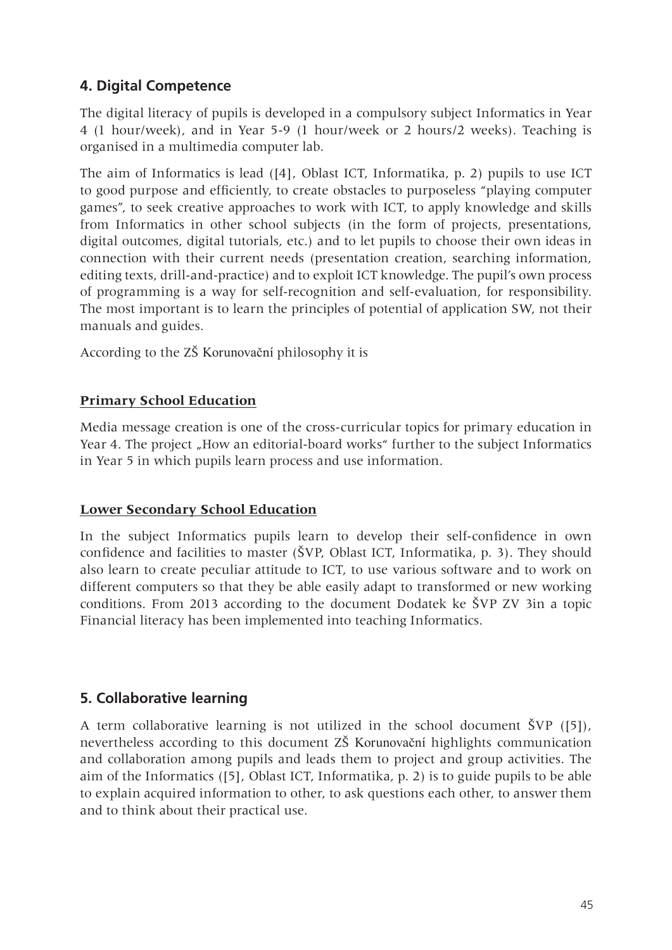# **4. Digital Competence**

The digital literacy of pupils is developed in a compulsory subject Informatics in Year 4 (1 hour/week), and in Year 5-9 (1 hour/week or 2 hours/2 weeks). Teaching is organised in a multimedia computer lab.

The aim of Informatics is lead ([4], Oblast ICT, Informatika, p. 2) pupils to use ICT to good purpose and efficiently, to create obstacles to purposeless "playing computer games", to seek creative approaches to work with ICT, to apply knowledge and skills from Informatics in other school subjects (in the form of projects, presentations, digital outcomes, digital tutorials, etc.) and to let pupils to choose their own ideas in connection with their current needs (presentation creation, searching information, editing texts, drill-and-practice) and to exploit ICT knowledge. The pupil's own process of programming is a way for self-recognition and self-evaluation, for responsibility. The most important is to learn the principles of potential of application SW, not their manuals and guides.

According to the ZŠ Korunovační philosophy it is

## **Primary School Education**

Media message creation is one of the cross-curricular topics for primary education in Year 4. The project "How an editorial-board works" further to the subject Informatics in Year 5 in which pupils learn process and use information.

#### **Lower Secondary School Education**

In the subject Informatics pupils learn to develop their self-confidence in own confidence and facilities to master (ŠVP, Oblast ICT, Informatika, p. 3). They should also learn to create peculiar attitude to ICT, to use various software and to work on different computers so that they be able easily adapt to transformed or new working conditions. From 2013 according to the document Dodatek ke ŠVP ZV 3in a topic Financial literacy has been implemented into teaching Informatics.

# **5. Collaborative learning**

A term collaborative learning is not utilized in the school document ŠVP ([5]), nevertheless according to this document ZŠ Korunovační highlights communication and collaboration among pupils and leads them to project and group activities. The aim of the Informatics ([5], Oblast ICT, Informatika, p. 2) is to guide pupils to be able to explain acquired information to other, to ask questions each other, to answer them and to think about their practical use.